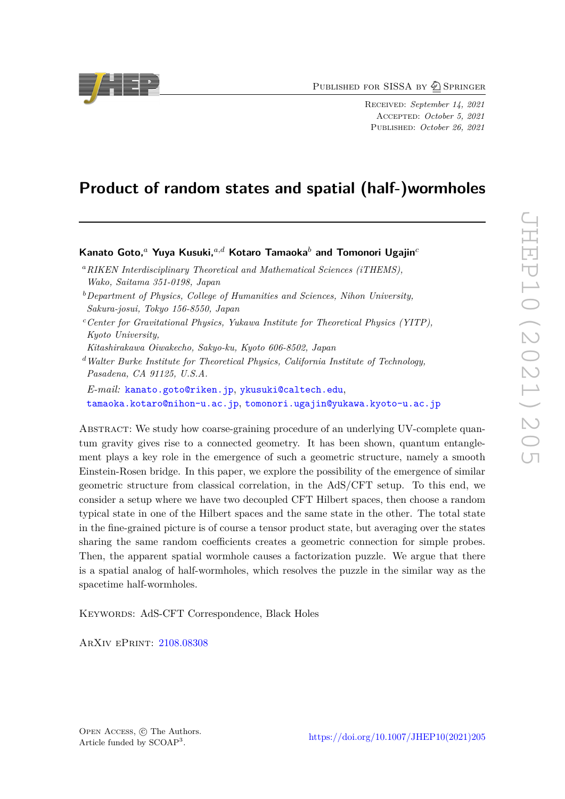PUBLISHED FOR SISSA BY 2 SPRINGER

Received: *September 14, 2021* Accepted: *October 5, 2021* Published: *October 26, 2021*

## **Product of random states and spatial (half-)wormholes**

## **Kanato Goto,***<sup>a</sup>* **Yuya Kusuki,***a,d* **Kotaro Tamaoka***<sup>b</sup>* **and Tomonori Ugajin***<sup>c</sup>*

- *<sup>a</sup>RIKEN Interdisciplinary Theoretical and Mathematical Sciences (iTHEMS), Wako, Saitama 351-0198, Japan*
- *<sup>b</sup>Department of Physics, College of Humanities and Sciences, Nihon University, Sakura-josui, Tokyo 156-8550, Japan*
- *<sup>c</sup>Center for Gravitational Physics, Yukawa Institute for Theoretical Physics (YITP), Kyoto University,*
- *Kitashirakawa Oiwakecho, Sakyo-ku, Kyoto 606-8502, Japan*
- *<sup>d</sup>Walter Burke Institute for Theoretical Physics, California Institute of Technology, Pasadena, CA 91125, U.S.A.*
- *E-mail:* [kanato.goto@riken.jp](mailto:kanato.goto@riken.jp), [ykusuki@caltech.edu](mailto:ykusuki@caltech.edu), [tamaoka.kotaro@nihon-u.ac.jp](mailto:tamaoka.kotaro@nihon-u.ac.jp), [tomonori.ugajin@yukawa.kyoto-u.ac.jp](mailto:tomonori.ugajin@yukawa.kyoto-u.ac.jp)

Abstract: We study how coarse-graining procedure of an underlying UV-complete quantum gravity gives rise to a connected geometry. It has been shown, quantum entanglement plays a key role in the emergence of such a geometric structure, namely a smooth Einstein-Rosen bridge. In this paper, we explore the possibility of the emergence of similar geometric structure from classical correlation, in the AdS/CFT setup. To this end, we consider a setup where we have two decoupled CFT Hilbert spaces, then choose a random typical state in one of the Hilbert spaces and the same state in the other. The total state in the fine-grained picture is of course a tensor product state, but averaging over the states sharing the same random coefficients creates a geometric connection for simple probes. Then, the apparent spatial wormhole causes a factorization puzzle. We argue that there is a spatial analog of half-wormholes, which resolves the puzzle in the similar way as the spacetime half-wormholes.

Keywords: AdS-CFT Correspondence, Black Holes

ArXiv ePrint: [2108.08308](https://arxiv.org/abs/2108.08308)

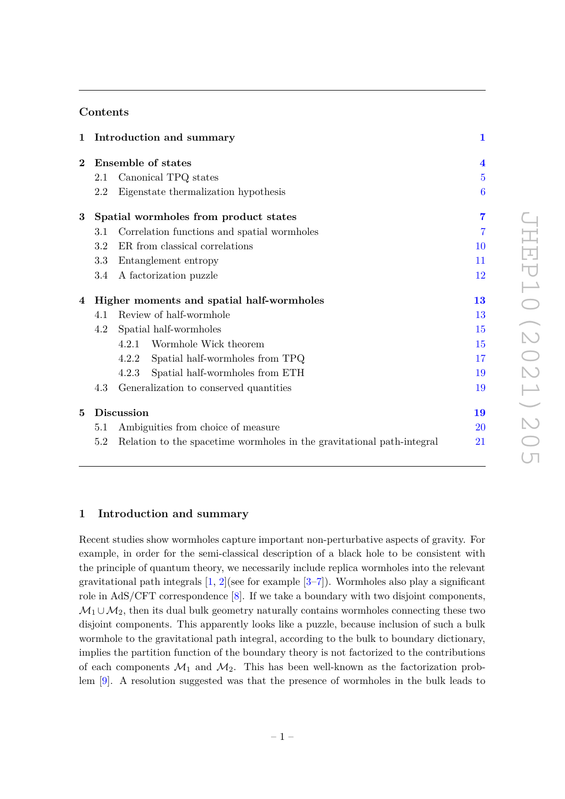## **Contents**

| 1              |                                           | Introduction and summary                                               | $\mathbf{1}$   |
|----------------|-------------------------------------------|------------------------------------------------------------------------|----------------|
| $\bf{2}$       |                                           | <b>Ensemble of states</b>                                              |                |
|                | 2.1                                       | Canonical TPQ states                                                   | $\overline{5}$ |
|                | 2.2                                       | Eigenstate thermalization hypothesis                                   | 6              |
| $3\phantom{.}$ | Spatial wormholes from product states     |                                                                        | 7              |
|                | 3.1                                       | Correlation functions and spatial wormholes                            | 7              |
|                | 3.2                                       | ER from classical correlations                                         | 10             |
|                | 3.3                                       | Entanglement entropy                                                   | 11             |
|                | 3.4                                       | A factorization puzzle                                                 | 12             |
| 4              | Higher moments and spatial half-wormholes |                                                                        | 13             |
|                | 4.1                                       | Review of half-wormhole                                                | 13             |
|                | 4.2                                       | Spatial half-wormholes                                                 | 15             |
|                |                                           | Wormhole Wick theorem<br>4.2.1                                         | 15             |
|                |                                           | Spatial half-wormholes from TPQ<br>4.2.2                               | 17             |
|                |                                           | Spatial half-wormholes from ETH<br>4.2.3                               | 19             |
|                | 4.3                                       | Generalization to conserved quantities                                 | 19             |
| $\bf{5}$       | Discussion                                |                                                                        | 19             |
|                | 5.1                                       | Ambiguities from choice of measure                                     | 20             |
|                | 5.2                                       | Relation to the spacetime wormholes in the gravitational path-integral | $21\,$         |
|                |                                           |                                                                        |                |

## <span id="page-1-0"></span>**1 Introduction and summary**

Recent studies show wormholes capture important non-perturbative aspects of gravity. For example, in order for the semi-classical description of a black hole to be consistent with the principle of quantum theory, we necessarily include replica wormholes into the relevant gravitational path integrals  $[1, 2]$  $[1, 2]$  $[1, 2]$ (see for example  $[3–7]$  $[3–7]$ ). Wormholes also play a significant role in AdS/CFT correspondence [\[8\]](#page-23-4). If we take a boundary with two disjoint components,  $\mathcal{M}_1 \cup \mathcal{M}_2$ , then its dual bulk geometry naturally contains wormholes connecting these two disjoint components. This apparently looks like a puzzle, because inclusion of such a bulk wormhole to the gravitational path integral, according to the bulk to boundary dictionary, implies the partition function of the boundary theory is not factorized to the contributions of each components  $\mathcal{M}_1$  and  $\mathcal{M}_2$ . This has been well-known as the factorization problem [\[9\]](#page-23-5). A resolution suggested was that the presence of wormholes in the bulk leads to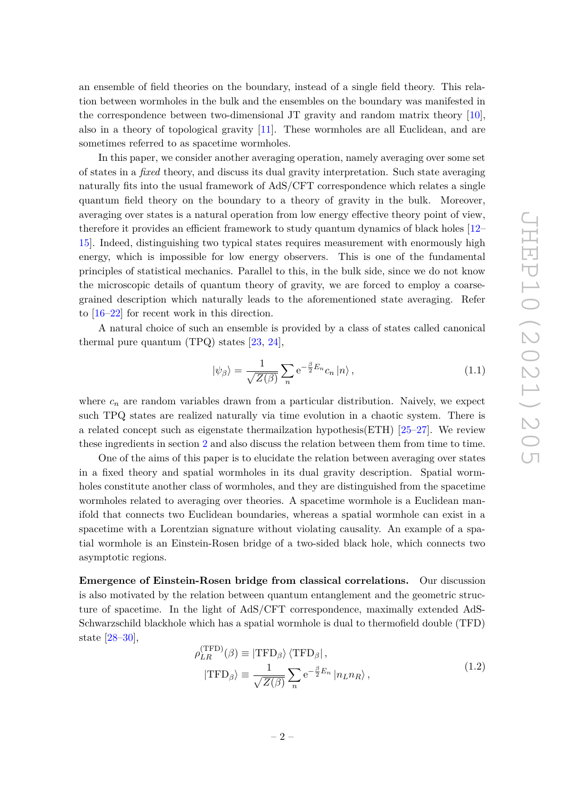an ensemble of field theories on the boundary, instead of a single field theory. This relation between wormholes in the bulk and the ensembles on the boundary was manifested in the correspondence between two-dimensional JT gravity and random matrix theory [\[10\]](#page-23-6), also in a theory of topological gravity [\[11\]](#page-24-0). These wormholes are all Euclidean, and are sometimes referred to as spacetime wormholes.

In this paper, we consider another averaging operation, namely averaging over some set of states in a *fixed* theory, and discuss its dual gravity interpretation. Such state averaging naturally fits into the usual framework of AdS/CFT correspondence which relates a single quantum field theory on the boundary to a theory of gravity in the bulk. Moreover, averaging over states is a natural operation from low energy effective theory point of view, therefore it provides an efficient framework to study quantum dynamics of black holes [\[12–](#page-24-1) [15\]](#page-24-2). Indeed, distinguishing two typical states requires measurement with enormously high energy, which is impossible for low energy observers. This is one of the fundamental principles of statistical mechanics. Parallel to this, in the bulk side, since we do not know the microscopic details of quantum theory of gravity, we are forced to employ a coarsegrained description which naturally leads to the aforementioned state averaging. Refer to [\[16–](#page-24-3)[22\]](#page-24-4) for recent work in this direction.

A natural choice of such an ensemble is provided by a class of states called canonical thermal pure quantum  $(TPQ)$  states  $[23, 24]$  $[23, 24]$  $[23, 24]$ ,

<span id="page-2-0"></span>
$$
|\psi_{\beta}\rangle = \frac{1}{\sqrt{Z(\beta)}} \sum_{n} e^{-\frac{\beta}{2}E_n} c_n |n\rangle, \qquad (1.1)
$$

where  $c_n$  are random variables drawn from a particular distribution. Naively, we expect such TPQ states are realized naturally via time evolution in a chaotic system. There is a related concept such as eigenstate thermailzation hypothesis(ETH) [\[25–](#page-24-7)[27\]](#page-24-8). We review these ingredients in section [2](#page-4-0) and also discuss the relation between them from time to time.

One of the aims of this paper is to elucidate the relation between averaging over states in a fixed theory and spatial wormholes in its dual gravity description. Spatial wormholes constitute another class of wormholes, and they are distinguished from the spacetime wormholes related to averaging over theories. A spacetime wormhole is a Euclidean manifold that connects two Euclidean boundaries, whereas a spatial wormhole can exist in a spacetime with a Lorentzian signature without violating causality. An example of a spatial wormhole is an Einstein-Rosen bridge of a two-sided black hole, which connects two asymptotic regions.

**Emergence of Einstein-Rosen bridge from classical correlations.** Our discussion is also motivated by the relation between quantum entanglement and the geometric structure of spacetime. In the light of AdS/CFT correspondence, maximally extended AdS-Schwarzschild blackhole which has a spatial wormhole is dual to thermofield double (TFD) state [\[28](#page-24-9)[–30\]](#page-25-0),

<span id="page-2-1"></span>
$$
\rho_{LR}^{(\text{TFD})}(\beta) \equiv |\text{TFD}_{\beta}\rangle \langle \text{TFD}_{\beta}|,
$$
  

$$
|\text{TFD}_{\beta}\rangle \equiv \frac{1}{\sqrt{Z(\beta)}} \sum_{n} e^{-\frac{\beta}{2}E_n} |n_L n_R\rangle,
$$
 (1.2)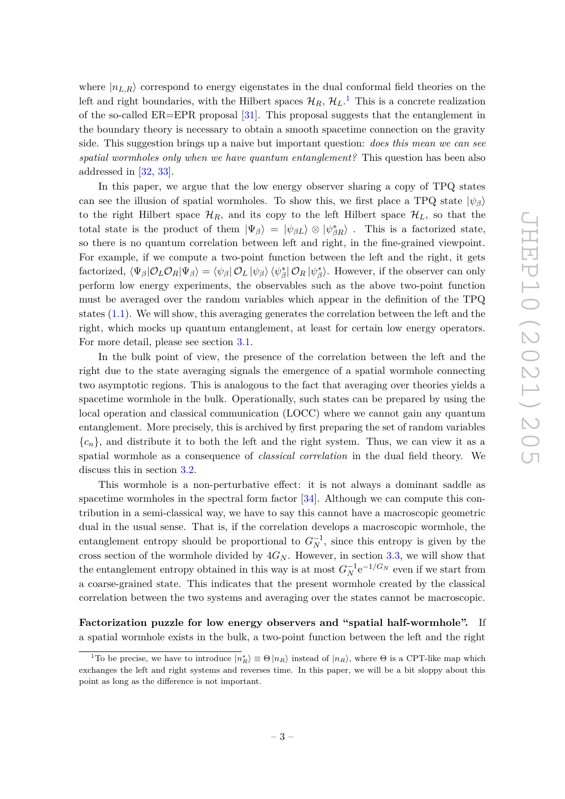where  $|n_{L,R}\rangle$  correspond to energy eigenstates in the dual conformal field theories on the left and right boundaries, with the Hilbert spaces  $\mathcal{H}_R$ ,  $\mathcal{H}_L$ .<sup>[1](#page-3-0)</sup> This is a concrete realization of the so-called ER=EPR proposal [\[31\]](#page-25-1). This proposal suggests that the entanglement in the boundary theory is necessary to obtain a smooth spacetime connection on the gravity side. This suggestion brings up a naive but important question: *does this mean we can see spatial wormholes only when we have quantum entanglement?* This question has been also addressed in [\[32,](#page-25-2) [33\]](#page-25-3).

In this paper, we argue that the low energy observer sharing a copy of TPQ states can see the illusion of spatial wormholes. To show this, we first place a TPQ state  $|\psi_{\beta}\rangle$ to the right Hilbert space  $\mathcal{H}_R$ , and its copy to the left Hilbert space  $\mathcal{H}_L$ , so that the total state is the product of them  $|\Psi_{\beta}\rangle = |\psi_{\beta L}\rangle \otimes |\psi_{\beta R}^*\rangle$ . This is a factorized state, so there is no quantum correlation between left and right, in the fine-grained viewpoint. For example, if we compute a two-point function between the left and the right, it gets  $\partial$  factorized,  $\langle \Psi_{\beta} | \mathcal{O}_L \mathcal{O}_R | \Psi_{\beta} \rangle = \langle \psi_{\beta} | \mathcal{O}_L | \psi_{\beta} \rangle \langle \psi_{\beta}^* | \mathcal{O}_R | \psi_{\beta}^* \rangle$ . However, if the observer can only perform low energy experiments, the observables such as the above two-point function must be averaged over the random variables which appear in the definition of the TPQ states [\(1.1\)](#page-2-0). We will show, this averaging generates the correlation between the left and the right, which mocks up quantum entanglement, at least for certain low energy operators. For more detail, please see section [3.1.](#page-7-1)

In the bulk point of view, the presence of the correlation between the left and the right due to the state averaging signals the emergence of a spatial wormhole connecting two asymptotic regions. This is analogous to the fact that averaging over theories yields a spacetime wormhole in the bulk. Operationally, such states can be prepared by using the local operation and classical communication (LOCC) where we cannot gain any quantum entanglement. More precisely, this is archived by first preparing the set of random variables  ${c_n}$ , and distribute it to both the left and the right system. Thus, we can view it as a spatial wormhole as a consequence of *classical correlation* in the dual field theory. We discuss this in section [3.2.](#page-10-0)

This wormhole is a non-perturbative effect: it is not always a dominant saddle as spacetime wormholes in the spectral form factor  $[34]$ . Although we can compute this contribution in a semi-classical way, we have to say this cannot have a macroscopic geometric dual in the usual sense. That is, if the correlation develops a macroscopic wormhole, the entanglement entropy should be proportional to  $G_N^{-1}$ , since this entropy is given by the cross section of the wormhole divided by  $4G_N$ . However, in section [3.3,](#page-11-0) we will show that the entanglement entropy obtained in this way is at most  $G_N^{-1}e^{-1/G_N}$  even if we start from a coarse-grained state. This indicates that the present wormhole created by the classical correlation between the two systems and averaging over the states cannot be macroscopic.

Factorization puzzle for low energy observers and "spatial half-wormhole". a spatial wormhole exists in the bulk, a two-point function between the left and the right

<span id="page-3-0"></span><sup>&</sup>lt;sup>1</sup>To be precise, we have to introduce  $|n_R^* \rangle \equiv \Theta |n_R \rangle$  instead of  $|n_R \rangle$ , where  $\Theta$  is a CPT-like map which exchanges the left and right systems and reverses time. In this paper, we will be a bit sloppy about this point as long as the difference is not important.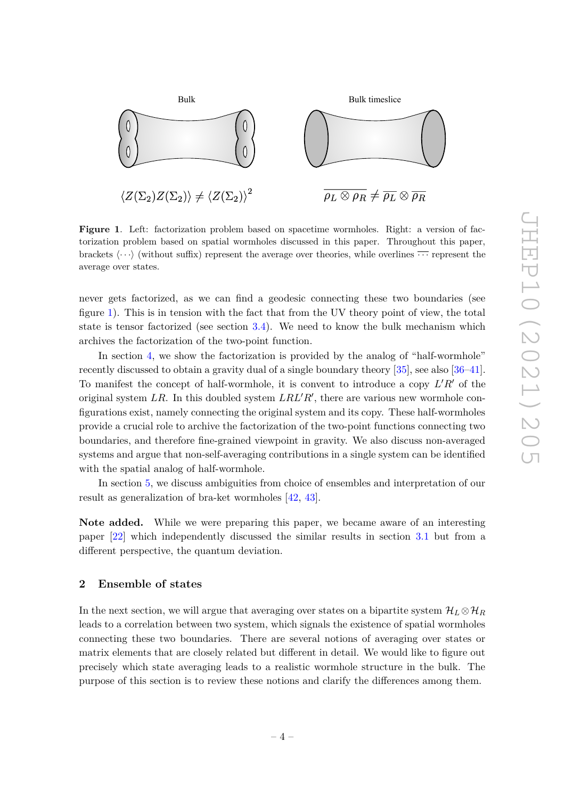

<span id="page-4-1"></span>**Figure 1**. Left: factorization problem based on spacetime wormholes. Right: a version of factorization problem based on spatial wormholes discussed in this paper. Throughout this paper, brackets  $\langle \cdots \rangle$  (without suffix) represent the average over theories, while overlines  $\cdots$  represent the average over states.

never gets factorized, as we can find a geodesic connecting these two boundaries (see figure [1\)](#page-4-1). This is in tension with the fact that from the UV theory point of view, the total state is tensor factorized (see section [3.4\)](#page-12-0). We need to know the bulk mechanism which archives the factorization of the two-point function.

In section [4,](#page-13-0) we show the factorization is provided by the analog of "half-wormhole" recently discussed to obtain a gravity dual of a single boundary theory [\[35\]](#page-25-5), see also [\[36–](#page-25-6)[41\]](#page-25-7). To manifest the concept of half-wormhole, it is convent to introduce a copy  $L'R'$  of the original system  $LR$ . In this doubled system  $LRL'R'$ , there are various new wormhole configurations exist, namely connecting the original system and its copy. These half-wormholes provide a crucial role to archive the factorization of the two-point functions connecting two boundaries, and therefore fine-grained viewpoint in gravity. We also discuss non-averaged systems and argue that non-self-averaging contributions in a single system can be identified with the spatial analog of half-wormhole.

In section [5,](#page-19-2) we discuss ambiguities from choice of ensembles and interpretation of our result as generalization of bra-ket wormholes [\[42,](#page-25-8) [43\]](#page-25-9).

**Note added.** While we were preparing this paper, we became aware of an interesting paper [\[22\]](#page-24-4) which independently discussed the similar results in section [3.1](#page-7-1) but from a different perspective, the quantum deviation.

## <span id="page-4-0"></span>**2 Ensemble of states**

In the next section, we will argue that averaging over states on a bipartite system  $\mathcal{H}_L \otimes \mathcal{H}_R$ leads to a correlation between two system, which signals the existence of spatial wormholes connecting these two boundaries. There are several notions of averaging over states or matrix elements that are closely related but different in detail. We would like to figure out precisely which state averaging leads to a realistic wormhole structure in the bulk. The purpose of this section is to review these notions and clarify the differences among them.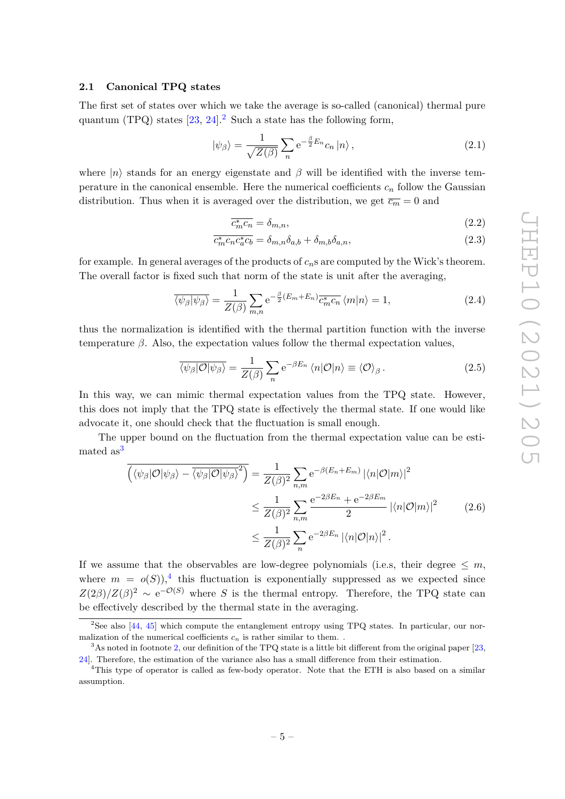## <span id="page-5-0"></span>**2.1 Canonical TPQ states**

The first set of states over which we take the average is so-called (canonical) thermal pure quantum (TPQ) states  $[23, 24]$  $[23, 24]$  $[23, 24]$ <sup>[2](#page-5-1)</sup> Such a state has the following form,

<span id="page-5-5"></span>
$$
|\psi_{\beta}\rangle = \frac{1}{\sqrt{Z(\beta)}} \sum_{n} e^{-\frac{\beta}{2}E_n} c_n |n\rangle , \qquad (2.1)
$$

where  $|n\rangle$  stands for an energy eigenstate and  $\beta$  will be identified with the inverse temperature in the canonical ensemble. Here the numerical coefficients  $c_n$  follow the Gaussian distribution. Thus when it is averaged over the distribution, we get  $\overline{c_m} = 0$  and

$$
\overline{c_m^* c_n} = \delta_{m,n},\tag{2.2}
$$

$$
\overline{c_m^*c_nc_a^*c_b} = \delta_{m,n}\delta_{a,b} + \delta_{m,b}\delta_{a,n},\tag{2.3}
$$

for example. In general averages of the products of  $c_n$ s are computed by the Wick's theorem. The overall factor is fixed such that norm of the state is unit after the averaging,

$$
\overline{\langle \psi_{\beta} | \psi_{\beta} \rangle} = \frac{1}{Z(\beta)} \sum_{m,n} e^{-\frac{\beta}{2} (E_m + E_n)} \overline{c_m^* c_n} \langle m | n \rangle = 1, \qquad (2.4)
$$

thus the normalization is identified with the thermal partition function with the inverse temperature  $\beta$ . Also, the expectation values follow the thermal expectation values,

$$
\overline{\langle \psi_{\beta} | \mathcal{O} | \psi_{\beta} \rangle} = \frac{1}{Z(\beta)} \sum_{n} e^{-\beta E_{n}} \langle n | \mathcal{O} | n \rangle \equiv \langle \mathcal{O} \rangle_{\beta}.
$$
 (2.5)

In this way, we can mimic thermal expectation values from the TPQ state. However, this does not imply that the TPQ state is effectively the thermal state. If one would like advocate it, one should check that the fluctuation is small enough.

The upper bound on the fluctuation from the thermal expectation value can be esti-mated as<sup>[3](#page-5-2)</sup>

<span id="page-5-4"></span>
$$
\overline{\left(\langle\psi_{\beta}|\mathcal{O}|\psi_{\beta}\rangle - \overline{\langle\psi_{\beta}|\mathcal{O}|\psi_{\beta}\rangle}^{2}\right)} = \frac{1}{Z(\beta)^{2}} \sum_{n,m} e^{-\beta(E_{n} + E_{m})} |\langle n|\mathcal{O}|m\rangle|^{2}
$$
  

$$
\leq \frac{1}{Z(\beta)^{2}} \sum_{n,m} \frac{e^{-2\beta E_{n}} + e^{-2\beta E_{m}}}{2} |\langle n|\mathcal{O}|m\rangle|^{2}
$$
(2.6)  

$$
\leq \frac{1}{Z(\beta)^{2}} \sum_{n} e^{-2\beta E_{n}} |\langle n|\mathcal{O}|n\rangle|^{2}.
$$

If we assume that the observables are low-degree polynomials (i.e.s, their degree  $\leq m$ , where  $m = o(S)$ ,<sup>[4](#page-5-3)</sup> this fluctuation is exponentially suppressed as we expected since  $Z(2\beta)/Z(\beta)^2 \sim e^{-\mathcal{O}(S)}$  where *S* is the thermal entropy. Therefore, the TPQ state can be effectively described by the thermal state in the averaging.

<span id="page-5-1"></span><sup>&</sup>lt;sup>2</sup>See also  $[44, 45]$  $[44, 45]$  $[44, 45]$  which compute the entanglement entropy using TPQ states. In particular, our normalization of the numerical coefficients  $c_n$  is rather similar to them.

<span id="page-5-2"></span> $3$ As noted in footnote [2,](#page-5-1) our definition of the TPQ state is a little bit different from the original paper [\[23,](#page-24-5) [24\]](#page-24-6). Therefore, the estimation of the variance also has a small difference from their estimation.

<span id="page-5-3"></span><sup>&</sup>lt;sup>4</sup>This type of operator is called as few-body operator. Note that the ETH is also based on a similar assumption.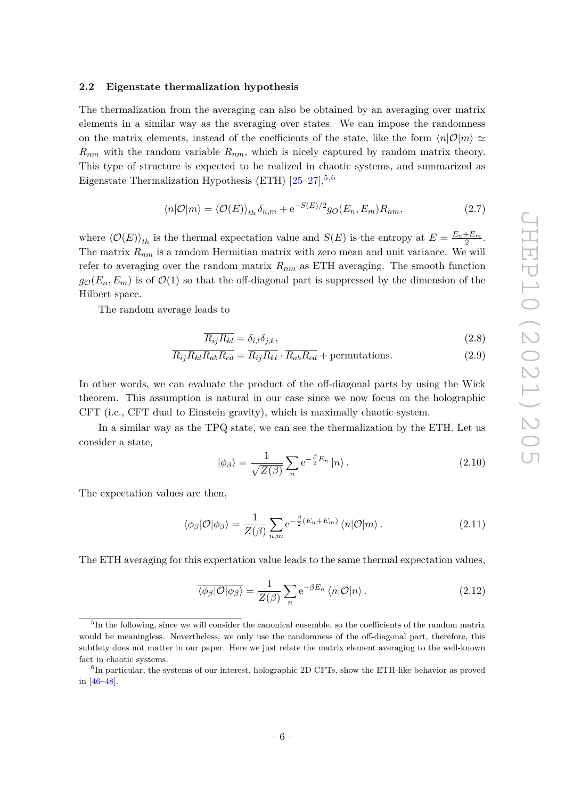#### <span id="page-6-0"></span>**2.2 Eigenstate thermalization hypothesis**

The thermalization from the averaging can also be obtained by an averaging over matrix elements in a similar way as the averaging over states. We can impose the randomness on the matrix elements, instead of the coefficients of the state, like the form  $\langle n|\mathcal{O}|m\rangle \simeq$  $R_{nm}$  with the random variable  $R_{nm}$ , which is nicely captured by random matrix theory. This type of structure is expected to be realized in chaotic systems, and summarized as Eigenstate Thermalization Hypothesis (ETH)  $[25-27]$  $[25-27]$ ,<sup>[5](#page-6-1),[6](#page-6-2)</sup>

$$
\langle n|\mathcal{O}|m\rangle = \langle \mathcal{O}(E)\rangle_{th}\,\delta_{n,m} + e^{-S(E)/2}g_O(E_n, E_m)R_{nm},\tag{2.7}
$$

where  $\langle \mathcal{O}(E) \rangle_{th}$  is the thermal expectation value and  $S(E)$  is the entropy at  $E = \frac{E_n + E_m}{2}$ . The matrix *Rnm* is a random Hermitian matrix with zero mean and unit variance. We will refer to averaging over the random matrix *Rnm* as ETH averaging. The smooth function  $g_{\mathcal{O}}(E_n, E_m)$  is of  $\mathcal{O}(1)$  so that the off-diagonal part is suppressed by the dimension of the Hilbert space.

The random average leads to

$$
\overline{R_{ij}R_{kl}} = \delta_{i,l}\delta_{j,k},\tag{2.8}
$$

$$
\overline{R_{ij}R_{kl}R_{ab}R_{cd}} = \overline{R_{ij}R_{kl}} \cdot \overline{R_{ab}R_{cd}} + \text{permutations.} \tag{2.9}
$$

In other words, we can evaluate the product of the off-diagonal parts by using the Wick theorem. This assumption is natural in our case since we now focus on the holographic CFT (i.e., CFT dual to Einstein gravity), which is maximally chaotic system.

In a similar way as the TPQ state, we can see the thermalization by the ETH. Let us consider a state,

$$
|\phi_{\beta}\rangle = \frac{1}{\sqrt{Z(\beta)}} \sum_{n} e^{-\frac{\beta}{2}E_n} |n\rangle.
$$
 (2.10)

The expectation values are then,

$$
\langle \phi_{\beta} | \mathcal{O} | \phi_{\beta} \rangle = \frac{1}{Z(\beta)} \sum_{n,m} e^{-\frac{\beta}{2} (E_n + E_m)} \langle n | \mathcal{O} | m \rangle.
$$
 (2.11)

The ETH averaging for this expectation value leads to the same thermal expectation values,

$$
\overline{\langle \phi_{\beta} | \mathcal{O} | \phi_{\beta} \rangle} = \frac{1}{Z(\beta)} \sum_{n} e^{-\beta E_{n}} \langle n | \mathcal{O} | n \rangle.
$$
 (2.12)

<span id="page-6-1"></span><sup>&</sup>lt;sup>5</sup>In the following, since we will consider the canonical ensemble, so the coefficients of the random matrix would be meaningless. Nevertheless, we only use the randomness of the off-diagonal part, therefore, this subtlety does not matter in our paper. Here we just relate the matrix element averaging to the well-known fact in chaotic systems.

<span id="page-6-2"></span><sup>&</sup>lt;sup>6</sup>In particular, the systems of our interest, holographic 2D CFTs, show the ETH-like behavior as proved in [\[46](#page-25-12)[–48\]](#page-25-13).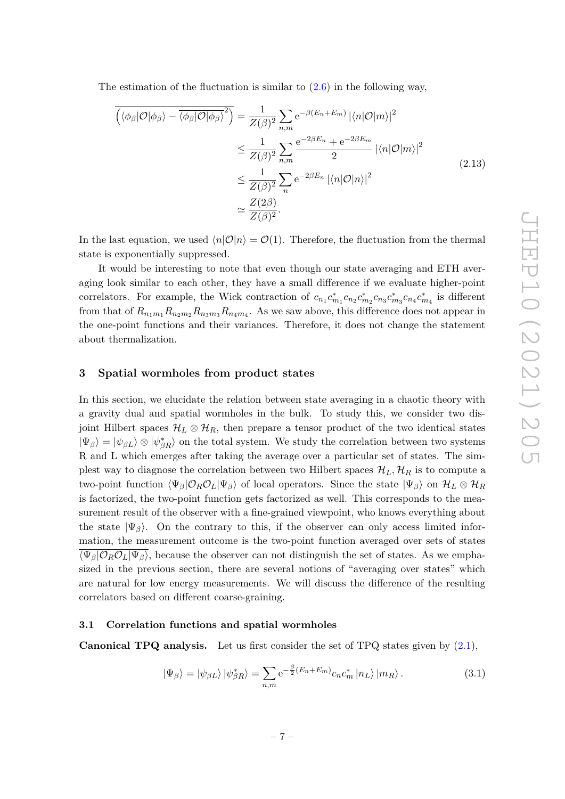The estimation of the fluctuation is similar to  $(2.6)$  in the following way,

$$
\overline{\left(\langle \phi_{\beta} | \mathcal{O} | \phi_{\beta} \rangle - \overline{\langle \phi_{\beta} | \mathcal{O} | \phi_{\beta} \rangle}^{2}\right)} = \frac{1}{Z(\beta)^{2}} \sum_{n,m} e^{-\beta (E_{n} + E_{m})} |\langle n | \mathcal{O} | m \rangle|^{2}
$$
  
\n
$$
\leq \frac{1}{Z(\beta)^{2}} \sum_{n,m} \frac{e^{-2\beta E_{n}} + e^{-2\beta E_{m}}}{2} |\langle n | \mathcal{O} | m \rangle|^{2}
$$
  
\n
$$
\leq \frac{1}{Z(\beta)^{2}} \sum_{n} e^{-2\beta E_{n}} |\langle n | \mathcal{O} | n \rangle|^{2}
$$
  
\n
$$
\approx \frac{Z(2\beta)}{Z(\beta)^{2}}.
$$
\n(2.13)

In the last equation, we used  $\langle n|O|n\rangle = O(1)$ . Therefore, the fluctuation from the thermal state is exponentially suppressed.

It would be interesting to note that even though our state averaging and ETH averaging look similar to each other, they have a small difference if we evaluate higher-point correlators. For example, the Wick contraction of  $c_{n_1}c_{m_1}^*c_{n_2}c_{m_3}^*c_{n_3}c_{n_4}^*c_{m_4}^*$  is different from that of  $R_{n_1m_1}R_{n_2m_2}R_{n_3m_3}R_{n_4m_4}$ . As we saw above, this difference does not appear in the one-point functions and their variances. Therefore, it does not change the statement about thermalization.

## <span id="page-7-0"></span>**3 Spatial wormholes from product states**

In this section, we elucidate the relation between state averaging in a chaotic theory with a gravity dual and spatial wormholes in the bulk. To study this, we consider two disjoint Hilbert spaces  $\mathcal{H}_L \otimes \mathcal{H}_R$ , then prepare a tensor product of the two identical states  $|\Psi_{\beta}\rangle = |\psi_{\beta L}\rangle \otimes |\psi_{\beta R}^{*}\rangle$  on the total system. We study the correlation between two systems R and L which emerges after taking the average over a particular set of states. The simplest way to diagnose the correlation between two Hilbert spaces  $\mathcal{H}_L$ ,  $\mathcal{H}_R$  is to compute a two-point function  $\langle \Psi_{\beta} | \mathcal{O}_R \mathcal{O}_L | \Psi_{\beta} \rangle$  of local operators. Since the state  $|\Psi_{\beta}\rangle$  on  $\mathcal{H}_L \otimes \mathcal{H}_R$ is factorized, the two-point function gets factorized as well. This corresponds to the measurement result of the observer with a fine-grained viewpoint, who knows everything about the state  $|\Psi_{\beta}\rangle$ . On the contrary to this, if the observer can only access limited information, the measurement outcome is the two-point function averaged over sets of states  $\overline{\langle\Psi_{\beta}|\mathcal{O}_R\mathcal{O}_L|\Psi_{\beta}\rangle}$ , because the observer can not distinguish the set of states. As we emphasized in the previous section, there are several notions of "averaging over states" which are natural for low energy measurements. We will discuss the difference of the resulting correlators based on different coarse-graining.

#### <span id="page-7-1"></span>**3.1 Correlation functions and spatial wormholes**

**Canonical TPQ analysis.** Let us first consider the set of TPQ states given by [\(2.1\)](#page-5-5),

<span id="page-7-2"></span>
$$
|\Psi_{\beta}\rangle = |\psi_{\beta L}\rangle |\psi_{\beta R}^*\rangle = \sum_{n,m} e^{-\frac{\beta}{2}(E_n + E_m)} c_n c_m^* |n_L\rangle |m_R\rangle.
$$
 (3.1)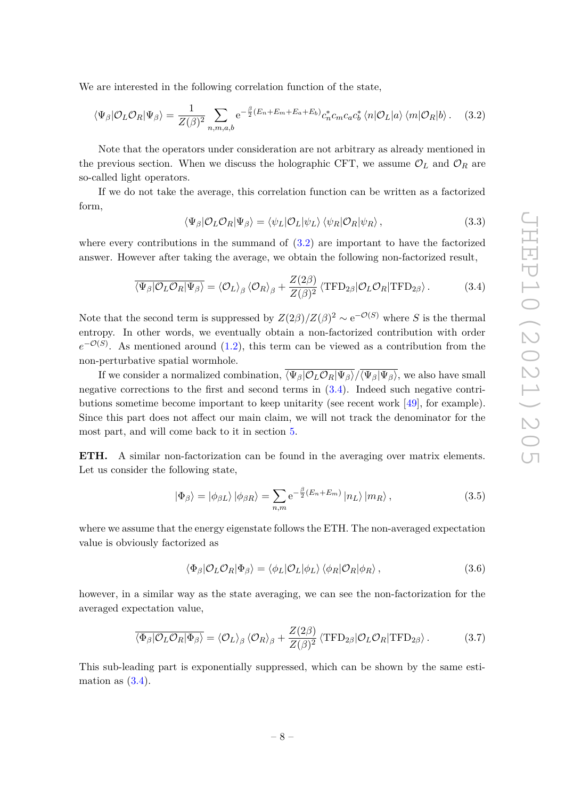We are interested in the following correlation function of the state,

<span id="page-8-0"></span>
$$
\langle \Psi_{\beta} | \mathcal{O}_L \mathcal{O}_R | \Psi_{\beta} \rangle = \frac{1}{Z(\beta)^2} \sum_{n,m,a,b} e^{-\frac{\beta}{2} (E_n + E_m + E_a + E_b)} c_n^* c_m c_a c_b^* \langle n | \mathcal{O}_L | a \rangle \langle m | \mathcal{O}_R | b \rangle. \tag{3.2}
$$

Note that the operators under consideration are not arbitrary as already mentioned in the previous section. When we discuss the holographic CFT, we assume  $\mathcal{O}_L$  and  $\mathcal{O}_R$  are so-called light operators.

If we do not take the average, this correlation function can be written as a factorized form,

<span id="page-8-4"></span>
$$
\langle \Psi_{\beta} | \mathcal{O}_L \mathcal{O}_R | \Psi_{\beta} \rangle = \langle \psi_L | \mathcal{O}_L | \psi_L \rangle \langle \psi_R | \mathcal{O}_R | \psi_R \rangle , \qquad (3.3)
$$

where every contributions in the summand of  $(3.2)$  are important to have the factorized answer. However after taking the average, we obtain the following non-factorized result,

<span id="page-8-1"></span>
$$
\overline{\langle \Psi_{\beta} | \mathcal{O}_L \mathcal{O}_R | \Psi_{\beta} \rangle} = \langle \mathcal{O}_L \rangle_{\beta} \langle \mathcal{O}_R \rangle_{\beta} + \frac{Z(2\beta)}{Z(\beta)^2} \langle \text{TFD}_{2\beta} | \mathcal{O}_L \mathcal{O}_R | \text{TFD}_{2\beta} \rangle. \tag{3.4}
$$

Note that the second term is suppressed by  $Z(2\beta)/Z(\beta)^2 \sim e^{-\mathcal{O}(S)}$  where *S* is the thermal entropy. In other words, we eventually obtain a non-factorized contribution with order  $e^{-\mathcal{O}(S)}$ . As mentioned around [\(1.2\)](#page-2-1), this term can be viewed as a contribution from the non-perturbative spatial wormhole.

If we consider a normalized combination,  $\overline{\langle\Psi_\beta|\mathcal{O}_L\mathcal{O}_R|\Psi_\beta\rangle}/\overline{\langle\Psi_\beta|\Psi_\beta\rangle}$ , we also have small negative corrections to the first and second terms in [\(3.4\)](#page-8-1). Indeed such negative contributions sometime become important to keep unitarity (see recent work [\[49\]](#page-25-14), for example). Since this part does not affect our main claim, we will not track the denominator for the most part, and will come back to it in section [5.](#page-19-2)

**ETH.** A similar non-factorization can be found in the averaging over matrix elements. Let us consider the following state,

<span id="page-8-3"></span>
$$
|\Phi_{\beta}\rangle = |\phi_{\beta L}\rangle |\phi_{\beta R}\rangle = \sum_{n,m} e^{-\frac{\beta}{2}(E_n + E_m)} |n_L\rangle |m_R\rangle, \qquad (3.5)
$$

where we assume that the energy eigenstate follows the ETH. The non-averaged expectation value is obviously factorized as

$$
\langle \Phi_{\beta} | \mathcal{O}_{L} \mathcal{O}_{R} | \Phi_{\beta} \rangle = \langle \phi_{L} | \mathcal{O}_{L} | \phi_{L} \rangle \langle \phi_{R} | \mathcal{O}_{R} | \phi_{R} \rangle, \qquad (3.6)
$$

however, in a similar way as the state averaging, we can see the non-factorization for the averaged expectation value,

<span id="page-8-2"></span>
$$
\overline{\langle \Phi_{\beta} | \mathcal{O}_L \mathcal{O}_R | \Phi_{\beta} \rangle} = \langle \mathcal{O}_L \rangle_{\beta} \langle \mathcal{O}_R \rangle_{\beta} + \frac{Z(2\beta)}{Z(\beta)^2} \langle \text{TFD}_{2\beta} | \mathcal{O}_L \mathcal{O}_R | \text{TFD}_{2\beta} \rangle. \tag{3.7}
$$

This sub-leading part is exponentially suppressed, which can be shown by the same estimation as  $(3.4)$ .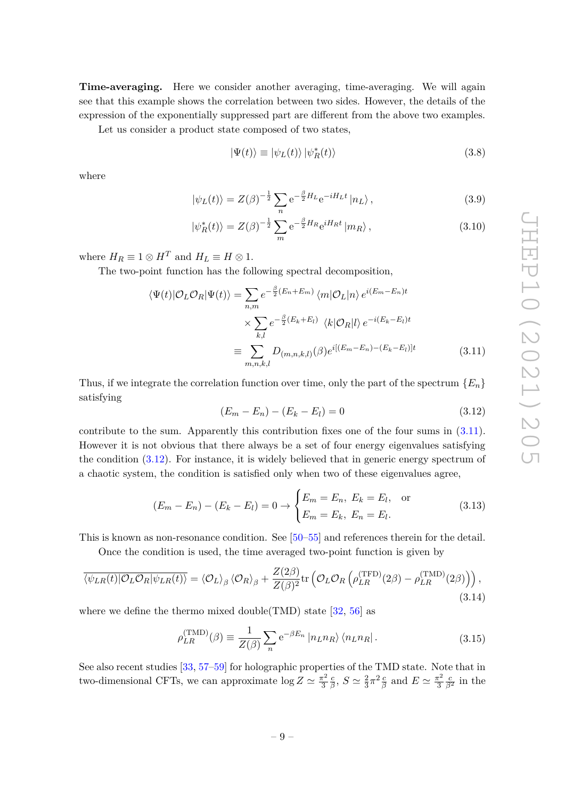**Time-averaging.** Here we consider another averaging, time-averaging. We will again see that this example shows the correlation between two sides. However, the details of the expression of the exponentially suppressed part are different from the above two examples.

Let us consider a product state composed of two states,

<span id="page-9-2"></span>
$$
|\Psi(t)\rangle \equiv |\psi_L(t)\rangle |\psi_R^*(t)\rangle
$$
\n(3.8)

where

$$
|\psi_L(t)\rangle = Z(\beta)^{-\frac{1}{2}} \sum_n e^{-\frac{\beta}{2}H_L} e^{-iH_L t} |n_L\rangle, \qquad (3.9)
$$

$$
|\psi_R^*(t)\rangle = Z(\beta)^{-\frac{1}{2}} \sum_m e^{-\frac{\beta}{2}H_R} e^{iH_Rt} |m_R\rangle, \qquad (3.10)
$$

where  $H_R \equiv 1 \otimes H^T$  and  $H_L \equiv H \otimes 1$ .

The two-point function has the following spectral decomposition,

$$
\langle \Psi(t) | \mathcal{O}_L \mathcal{O}_R | \Psi(t) \rangle = \sum_{n,m} e^{-\frac{\beta}{2} (E_n + E_m)} \langle m | \mathcal{O}_L | n \rangle e^{i(E_m - E_n)t}
$$

$$
\times \sum_{k,l} e^{-\frac{\beta}{2} (E_k + E_l)} \langle k | \mathcal{O}_R | l \rangle e^{-i(E_k - E_l)t}
$$

$$
\equiv \sum_{m,n,k,l} D_{(m,n,k,l)}(\beta) e^{i[(E_m - E_n) - (E_k - E_l)]t} \tag{3.11}
$$

Thus, if we integrate the correlation function over time, only the part of the spectrum  ${E_n}$ satisfying

<span id="page-9-1"></span><span id="page-9-0"></span>
$$
(E_m - E_n) - (E_k - E_l) = 0 \tag{3.12}
$$

contribute to the sum. Apparently this contribution fixes one of the four sums in [\(3.11\)](#page-9-0). However it is not obvious that there always be a set of four energy eigenvalues satisfying the condition [\(3.12\)](#page-9-1). For instance, it is widely believed that in generic energy spectrum of a chaotic system, the condition is satisfied only when two of these eigenvalues agree,

$$
(E_m - E_n) - (E_k - E_l) = 0 \to \begin{cases} E_m = E_n, E_k = E_l, & \text{or} \\ E_m = E_k, E_n = E_l. \end{cases}
$$
(3.13)

This is known as non-resonance condition. See [\[50](#page-25-15)[–55\]](#page-26-0) and references therein for the detail.

Once the condition is used, the time averaged two-point function is given by

$$
\overline{\langle \psi_{LR}(t) | O_L O_R | \psi_{LR}(t) \rangle} = \langle O_L \rangle_{\beta} \langle O_R \rangle_{\beta} + \frac{Z(2\beta)}{Z(\beta)^2} \text{tr} \left( O_L O_R \left( \rho_{LR}^{(\text{TFD})}(2\beta) - \rho_{LR}^{(\text{TMD})}(2\beta) \right) \right), \tag{3.14}
$$

where we define the thermo mixed double(TMD) state  $[32, 56]$  $[32, 56]$  $[32, 56]$  as

$$
\rho_{LR}^{(\text{TMD})}(\beta) \equiv \frac{1}{Z(\beta)} \sum_{n} e^{-\beta E_n} |n_L n_R\rangle \langle n_L n_R|.
$$
\n(3.15)

See also recent studies [\[33,](#page-25-3) [57–](#page-26-2)[59\]](#page-26-3) for holographic properties of the TMD state. Note that in two-dimensional CFTs, we can approximate  $\log Z \simeq \frac{\pi^2}{3}$ 3 *c*  $\frac{c}{\beta}$ ,  $S \simeq \frac{2}{3}$  $\frac{2}{3}\pi^2 \frac{c}{\beta}$  and  $E \simeq \frac{\pi^2}{3}$ 3  $\frac{c}{\beta^2}$  in the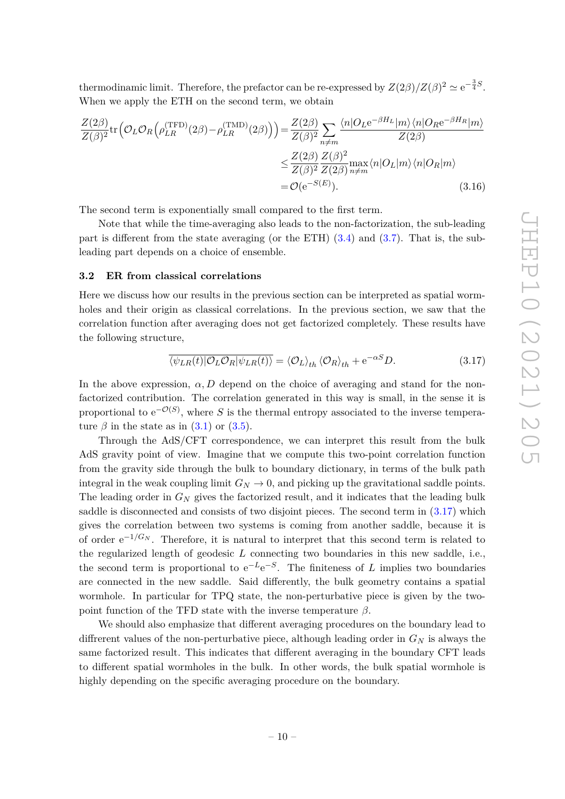thermodinamic limit. Therefore, the prefactor can be re-expressed by  $Z(2\beta)/Z(\beta)^2 \simeq e^{-\frac{3}{4}S}$ . When we apply the ETH on the second term, we obtain

$$
\frac{Z(2\beta)}{Z(\beta)^2} \text{tr} \left( \mathcal{O}_L \mathcal{O}_R \left( \rho_{LR}^{(\text{TFD})}(2\beta) - \rho_{LR}^{(\text{TMD})}(2\beta) \right) \right) = \frac{Z(2\beta)}{Z(\beta)^2} \sum_{n \neq m} \frac{\langle n | O_L e^{-\beta H_L} | m \rangle \langle n | O_R e^{-\beta H_R} | m \rangle}{Z(2\beta)}
$$

$$
\leq \frac{Z(2\beta)}{Z(\beta)^2} \frac{Z(\beta)^2}{Z(2\beta)} \max_{n \neq m} \langle n | O_L | m \rangle \langle n | O_R | m \rangle
$$

$$
= \mathcal{O}(e^{-S(E)}). \tag{3.16}
$$

The second term is exponentially small compared to the first term.

Note that while the time-averaging also leads to the non-factorization, the sub-leading part is different from the state averaging (or the ETH) [\(3.4\)](#page-8-1) and [\(3.7\)](#page-8-2). That is, the subleading part depends on a choice of ensemble.

#### <span id="page-10-0"></span>**3.2 ER from classical correlations**

Here we discuss how our results in the previous section can be interpreted as spatial wormholes and their origin as classical correlations. In the previous section, we saw that the correlation function after averaging does not get factorized completely. These results have the following structure,

<span id="page-10-1"></span>
$$
\overline{\langle \psi_{LR}(t) | \mathcal{O}_L \mathcal{O}_R | \psi_{LR}(t) \rangle} = \langle \mathcal{O}_L \rangle_{th} \langle \mathcal{O}_R \rangle_{th} + e^{-\alpha S} D. \tag{3.17}
$$

In the above expression,  $\alpha$ , D depend on the choice of averaging and stand for the nonfactorized contribution. The correlation generated in this way is small, in the sense it is proportional to  $e^{-\mathcal{O}(S)}$ , where *S* is the thermal entropy associated to the inverse temperature  $\beta$  in the state as in  $(3.1)$  or  $(3.5)$ .

Through the AdS/CFT correspondence, we can interpret this result from the bulk AdS gravity point of view. Imagine that we compute this two-point correlation function from the gravity side through the bulk to boundary dictionary, in terms of the bulk path integral in the weak coupling limit  $G_N \to 0$ , and picking up the gravitational saddle points. The leading order in *G<sup>N</sup>* gives the factorized result, and it indicates that the leading bulk saddle is disconnected and consists of two disjoint pieces. The second term in [\(3.17\)](#page-10-1) which gives the correlation between two systems is coming from another saddle, because it is of order  $e^{-1/G_N}$ . Therefore, it is natural to interpret that this second term is related to the regularized length of geodesic *L* connecting two boundaries in this new saddle, i.e., the second term is proportional to  $e^{-L}e^{-S}$ . The finiteness of *L* implies two boundaries are connected in the new saddle. Said differently, the bulk geometry contains a spatial wormhole. In particular for TPQ state, the non-perturbative piece is given by the twopoint function of the TFD state with the inverse temperature  $\beta$ .

We should also emphasize that different averaging procedures on the boundary lead to diffrerent values of the non-perturbative piece, although leading order in *G<sup>N</sup>* is always the same factorized result. This indicates that different averaging in the boundary CFT leads to different spatial wormholes in the bulk. In other words, the bulk spatial wormhole is highly depending on the specific averaging procedure on the boundary.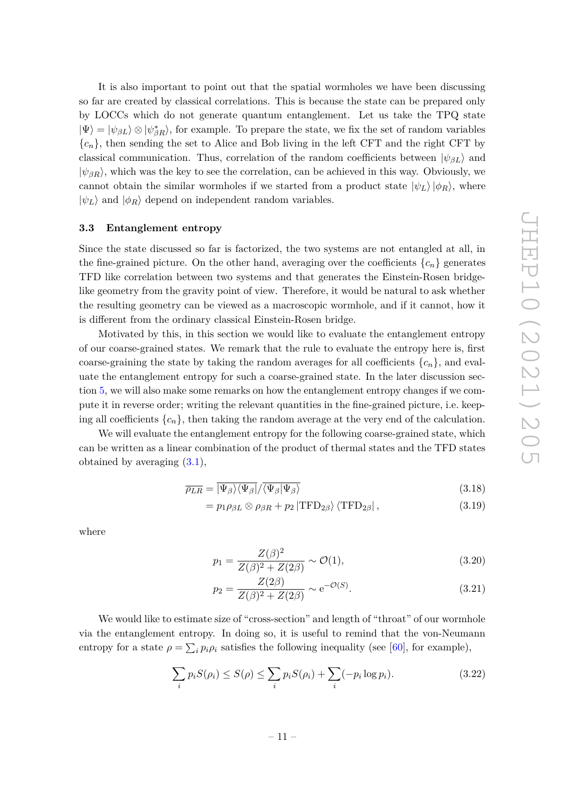It is also important to point out that the spatial wormholes we have been discussing so far are created by classical correlations. This is because the state can be prepared only by LOCCs which do not generate quantum entanglement. Let us take the TPQ state  $|\Psi\rangle = |\psi_{\beta L}\rangle \otimes |\psi_{\beta R}^*\rangle$ , for example. To prepare the state, we fix the set of random variables  ${c_n}$ , then sending the set to Alice and Bob living in the left CFT and the right CFT by classical communication. Thus, correlation of the random coefficients between  $|\psi_{BL}\rangle$  and  $|\psi_{BR}\rangle$ , which was the key to see the correlation, can be achieved in this way. Obviously, we cannot obtain the similar wormholes if we started from a product state  $|\psi_L\rangle |\phi_R\rangle$ , where  $|\psi_L\rangle$  and  $|\phi_R\rangle$  depend on independent random variables.

#### <span id="page-11-0"></span>**3.3 Entanglement entropy**

Since the state discussed so far is factorized, the two systems are not entangled at all, in the fine-grained picture. On the other hand, averaging over the coefficients  $\{c_n\}$  generates TFD like correlation between two systems and that generates the Einstein-Rosen bridgelike geometry from the gravity point of view. Therefore, it would be natural to ask whether the resulting geometry can be viewed as a macroscopic wormhole, and if it cannot, how it is different from the ordinary classical Einstein-Rosen bridge.

Motivated by this, in this section we would like to evaluate the entanglement entropy of our coarse-grained states. We remark that the rule to evaluate the entropy here is, first coarse-graining the state by taking the random averages for all coefficients  ${c_n}$ , and evaluate the entanglement entropy for such a coarse-grained state. In the later discussion section [5,](#page-19-2) we will also make some remarks on how the entanglement entropy changes if we compute it in reverse order; writing the relevant quantities in the fine-grained picture, i.e. keeping all coefficients  $\{c_n\}$ , then taking the random average at the very end of the calculation.

We will evaluate the entanglement entropy for the following coarse-grained state, which can be written as a linear combination of the product of thermal states and the TFD states obtained by averaging  $(3.1)$ ,

$$
\overline{\rho_{LR}} = \overline{\ket{\Psi_{\beta}}\bra{\Psi_{\beta}}}/\overline{\bra{\Psi_{\beta}}\Psi_{\beta}}
$$
\n(3.18)

$$
= p_1 \rho_{\beta L} \otimes \rho_{\beta R} + p_2 |\text{TFD}_{2\beta} \rangle \langle \text{TFD}_{2\beta} | , \qquad (3.19)
$$

where

<span id="page-11-1"></span>
$$
p_1 = \frac{Z(\beta)^2}{Z(\beta)^2 + Z(2\beta)} \sim \mathcal{O}(1),\tag{3.20}
$$

$$
p_2 = \frac{Z(2\beta)}{Z(\beta)^2 + Z(2\beta)} \sim e^{-\mathcal{O}(S)}.
$$
\n(3.21)

We would like to estimate size of "cross-section" and length of "throat" of our wormhole via the entanglement entropy. In doing so, it is useful to remind that the von-Neumann entropy for a state  $\rho = \sum_i p_i \rho_i$  satisfies the following inequality (see [\[60\]](#page-26-4), for example),

$$
\sum_{i} p_i S(\rho_i) \le S(\rho) \le \sum_{i} p_i S(\rho_i) + \sum_{i} (-p_i \log p_i). \tag{3.22}
$$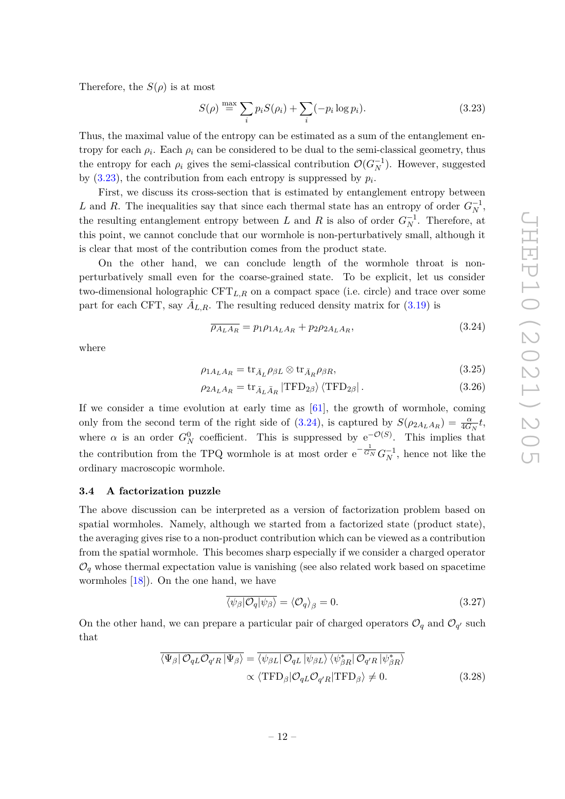Therefore, the  $S(\rho)$  is at most

<span id="page-12-1"></span>
$$
S(\rho) \stackrel{\text{max}}{=} \sum_{i} p_i S(\rho_i) + \sum_{i} (-p_i \log p_i). \tag{3.23}
$$

Thus, the maximal value of the entropy can be estimated as a sum of the entanglement entropy for each  $\rho_i$ . Each  $\rho_i$  can be considered to be dual to the semi-classical geometry, thus the entropy for each  $\rho_i$  gives the semi-classical contribution  $\mathcal{O}(G_N^{-1})$ . However, suggested by  $(3.23)$ , the contribution from each entropy is suppressed by  $p_i$ .

First, we discuss its cross-section that is estimated by entanglement entropy between *L* and *R*. The inequalities say that since each thermal state has an entropy of order  $G_N^{-1}$ , the resulting entanglement entropy between *L* and *R* is also of order  $G_N^{-1}$ . Therefore, at this point, we cannot conclude that our wormhole is non-perturbatively small, although it is clear that most of the contribution comes from the product state.

On the other hand, we can conclude length of the wormhole throat is nonperturbatively small even for the coarse-grained state. To be explicit, let us consider two-dimensional holographic CFT*L,R* on a compact space (i.e. circle) and trace over some part for each CFT, say  $\bar{A}_{L,R}$ . The resulting reduced density matrix for  $(3.19)$  is

<span id="page-12-2"></span>
$$
\overline{\rho_{A_L A_R}} = p_1 \rho_{1A_L A_R} + p_2 \rho_{2A_L A_R},\tag{3.24}
$$

where

$$
\rho_{1A_L A_R} = \text{tr}_{\bar{A}_L} \rho_{\beta L} \otimes \text{tr}_{\bar{A}_R} \rho_{\beta R},\tag{3.25}
$$

$$
\rho_{2A_L A_R} = \text{tr}_{\bar{A}_L \bar{A}_R} |\text{TFD}_{2\beta}\rangle \langle \text{TFD}_{2\beta} | \,. \tag{3.26}
$$

If we consider a time evolution at early time as  $[61]$ , the growth of wormhole, coming only from the second term of the right side of [\(3.24\)](#page-12-2), is captured by  $S(\rho_{2A_LA_R}) = \frac{\alpha}{4G_N}t$ , where  $\alpha$  is an order  $G_N^0$  coefficient. This is suppressed by  $e^{-\mathcal{O}(S)}$ . This implies that the contribution from the TPQ wormhole is at most order  $e^{-\frac{1}{G_N}}G_N^{-1}$ , hence not like the ordinary macroscopic wormhole.

#### <span id="page-12-0"></span>**3.4 A factorization puzzle**

The above discussion can be interpreted as a version of factorization problem based on spatial wormholes. Namely, although we started from a factorized state (product state), the averaging gives rise to a non-product contribution which can be viewed as a contribution from the spatial wormhole. This becomes sharp especially if we consider a charged operator  $\mathcal{O}_q$  whose thermal expectation value is vanishing (see also related work based on spacetime wormholes [\[18\]](#page-24-10)). On the one hand, we have

<span id="page-12-3"></span>
$$
\overline{\langle \psi_{\beta} | \mathcal{O}_q | \psi_{\beta} \rangle} = \langle \mathcal{O}_q \rangle_{\beta} = 0. \tag{3.27}
$$

On the other hand, we can prepare a particular pair of charged operators  $\mathcal{O}_q$  and  $\mathcal{O}_{q'}$  such that

$$
\overline{\langle \Psi_{\beta} | \mathcal{O}_{qL} \mathcal{O}_{q'R} | \Psi_{\beta} \rangle} = \overline{\langle \psi_{\beta L} | \mathcal{O}_{qL} | \psi_{\beta L} \rangle \langle \psi_{\beta R}^* | \mathcal{O}_{q'R} | \psi_{\beta R}^* \rangle}
$$
  
 
$$
\propto \langle \text{TFD}_{\beta} | \mathcal{O}_{qL} \mathcal{O}_{q'R} | \text{TFD}_{\beta} \rangle \neq 0.
$$
 (3.28)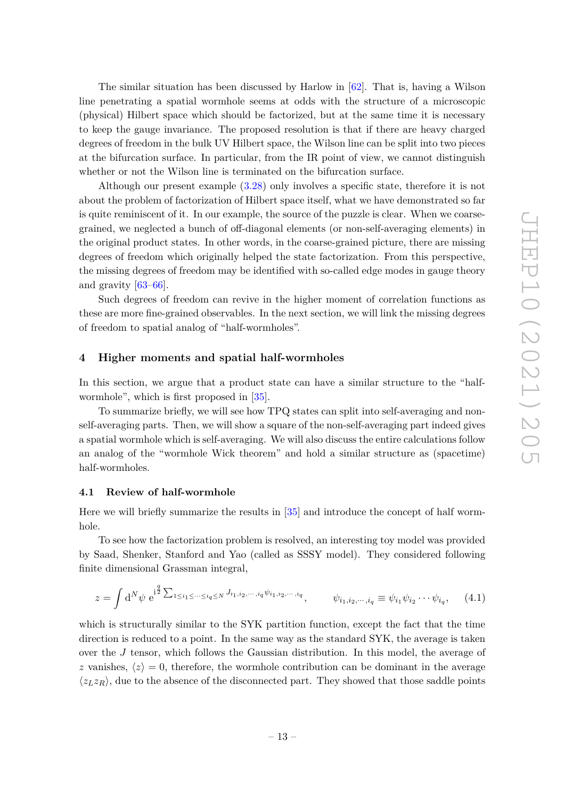The similar situation has been discussed by Harlow in [\[62\]](#page-26-6). That is, having a Wilson line penetrating a spatial wormhole seems at odds with the structure of a microscopic (physical) Hilbert space which should be factorized, but at the same time it is necessary to keep the gauge invariance. The proposed resolution is that if there are heavy charged degrees of freedom in the bulk UV Hilbert space, the Wilson line can be split into two pieces at the bifurcation surface. In particular, from the IR point of view, we cannot distinguish whether or not the Wilson line is terminated on the bifurcation surface.

Although our present example [\(3.28\)](#page-12-3) only involves a specific state, therefore it is not about the problem of factorization of Hilbert space itself, what we have demonstrated so far is quite reminiscent of it. In our example, the source of the puzzle is clear. When we coarsegrained, we neglected a bunch of off-diagonal elements (or non-self-averaging elements) in the original product states. In other words, in the coarse-grained picture, there are missing degrees of freedom which originally helped the state factorization. From this perspective, the missing degrees of freedom may be identified with so-called edge modes in gauge theory and gravity [\[63](#page-26-7)[–66\]](#page-26-8).

Such degrees of freedom can revive in the higher moment of correlation functions as these are more fine-grained observables. In the next section, we will link the missing degrees of freedom to spatial analog of "half-wormholes".

#### <span id="page-13-0"></span>**4 Higher moments and spatial half-wormholes**

In this section, we argue that a product state can have a similar structure to the "halfwormhole", which is first proposed in [\[35\]](#page-25-5).

To summarize briefly, we will see how TPQ states can split into self-averaging and nonself-averaging parts. Then, we will show a square of the non-self-averaging part indeed gives a spatial wormhole which is self-averaging. We will also discuss the entire calculations follow an analog of the "wormhole Wick theorem" and hold a similar structure as (spacetime) half-wormholes.

## <span id="page-13-1"></span>**4.1 Review of half-wormhole**

Here we will briefly summarize the results in [\[35\]](#page-25-5) and introduce the concept of half wormhole.

To see how the factorization problem is resolved, an interesting toy model was provided by Saad, Shenker, Stanford and Yao (called as SSSY model). They considered following finite dimensional Grassman integral,

$$
z = \int d^N \psi \ e^{i^{\frac{q}{2}} \sum_{1 \le i_1 \le \dots \le i_q \le N} J_{i_1, i_2, \dots, i_q} \psi_{i_1, i_2, \dots, i_q}}, \qquad \psi_{i_1, i_2, \dots, i_q} \equiv \psi_{i_1} \psi_{i_2} \cdots \psi_{i_q}, \qquad (4.1)
$$

which is structurally similar to the SYK partition function, except the fact that the time direction is reduced to a point. In the same way as the standard SYK, the average is taken over the *J* tensor, which follows the Gaussian distribution. In this model, the average of *z* vanishes,  $\langle z \rangle = 0$ , therefore, the wormhole contribution can be dominant in the average  $\langle z_L z_R \rangle$ , due to the absence of the disconnected part. They showed that those saddle points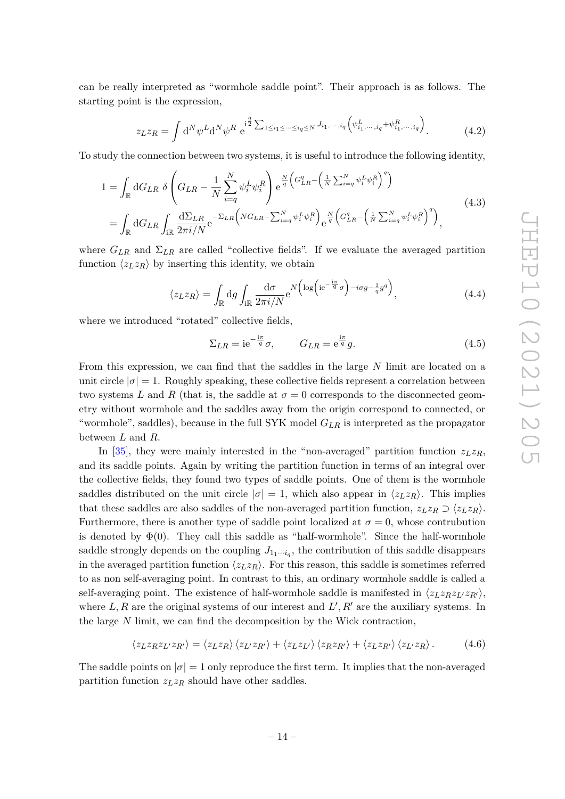can be really interpreted as "wormhole saddle point". Their approach is as follows. The starting point is the expression,

$$
z_L z_R = \int d^N \psi^L d^N \psi^R \ e^{\frac{i^q}{2} \sum_{1 \le i_1 \le \dots \le i_q \le N} J_{i_1, \dots, i_q} \left( \psi^L_{i_1, \dots, i_q} + \psi^R_{i_1, \dots, i_q} \right)}.
$$
 (4.2)

To study the connection between two systems, it is useful to introduce the following identity,

$$
1 = \int_{\mathbb{R}} dG_{LR} \delta \left( G_{LR} - \frac{1}{N} \sum_{i=q}^{N} \psi_i^L \psi_i^R \right) e^{\frac{N}{q} \left( G_{LR}^q - \left( \frac{1}{N} \sum_{i=q}^{N} \psi_i^L \psi_i^R \right)^q \right)}
$$
  

$$
= \int_{\mathbb{R}} dG_{LR} \int_{i\mathbb{R}} \frac{d\Sigma_{LR}}{2\pi i/N} e^{-\Sigma_{LR} \left( NG_{LR} - \sum_{i=q}^{N} \psi_i^L \psi_i^R \right)} e^{\frac{N}{q} \left( G_{LR}^q - \left( \frac{1}{N} \sum_{i=q}^{N} \psi_i^L \psi_i^R \right)^q \right)},
$$
(4.3)

where  $G_{LR}$  and  $\Sigma_{LR}$  are called "collective fields". If we evaluate the averaged partition function  $\langle z_L z_R \rangle$  by inserting this identity, we obtain

$$
\langle z_L z_R \rangle = \int_{\mathbb{R}} \mathrm{d}g \int_{i\mathbb{R}} \frac{\mathrm{d}\sigma}{2\pi i/N} e^{N \left( \log \left( i e^{-\frac{i\pi}{q}} \sigma \right) - i\sigma g - \frac{1}{q} g^q \right)},\tag{4.4}
$$

where we introduced "rotated" collective fields,

$$
\Sigma_{LR} = i e^{-\frac{i\pi}{q}} \sigma, \qquad G_{LR} = e^{\frac{i\pi}{q}} g. \tag{4.5}
$$

From this expression, we can find that the saddles in the large *N* limit are located on a unit circle  $|\sigma|=1$ . Roughly speaking, these collective fields represent a correlation between two systems *L* and *R* (that is, the saddle at  $\sigma = 0$  corresponds to the disconnected geometry without wormhole and the saddles away from the origin correspond to connected, or "wormhole", saddles), because in the full SYK model *GLR* is interpreted as the propagator between *L* and *R*.

In [\[35\]](#page-25-5), they were mainly interested in the "non-averaged" partition function  $z_L z_R$ , and its saddle points. Again by writing the partition function in terms of an integral over the collective fields, they found two types of saddle points. One of them is the wormhole saddles distributed on the unit circle  $|\sigma| = 1$ , which also appear in  $\langle z_L z_R \rangle$ . This implies that these saddles are also saddles of the non-averaged partition function,  $z_L z_R \supset \langle z_L z_R \rangle$ . Furthermore, there is another type of saddle point localized at  $\sigma = 0$ , whose contrubution is denoted by  $\Phi(0)$ . They call this saddle as "half-wormhole". Since the half-wormhole saddle strongly depends on the coupling  $J_{1_1\cdots i_q}$ , the contribution of this saddle disappears in the averaged partition function  $\langle z_L z_R \rangle$ . For this reason, this saddle is sometimes referred to as non self-averaging point. In contrast to this, an ordinary wormhole saddle is called a self-averaging point. The existence of half-wormhole saddle is manifested in  $\langle z_L z_R z_L z_R \rangle$ , where  $L, R$  are the original systems of our interest and  $L', R'$  are the auxiliary systems. In the large *N* limit, we can find the decomposition by the Wick contraction,

<span id="page-14-0"></span>
$$
\langle z_L z_R z_{L'} z_{R'} \rangle = \langle z_L z_R \rangle \langle z_{L'} z_{R'} \rangle + \langle z_L z_{L'} \rangle \langle z_R z_{R'} \rangle + \langle z_L z_{R'} \rangle \langle z_{L'} z_R \rangle. \tag{4.6}
$$

The saddle points on  $|\sigma|=1$  only reproduce the first term. It implies that the non-averaged partition function *zLz<sup>R</sup>* should have other saddles.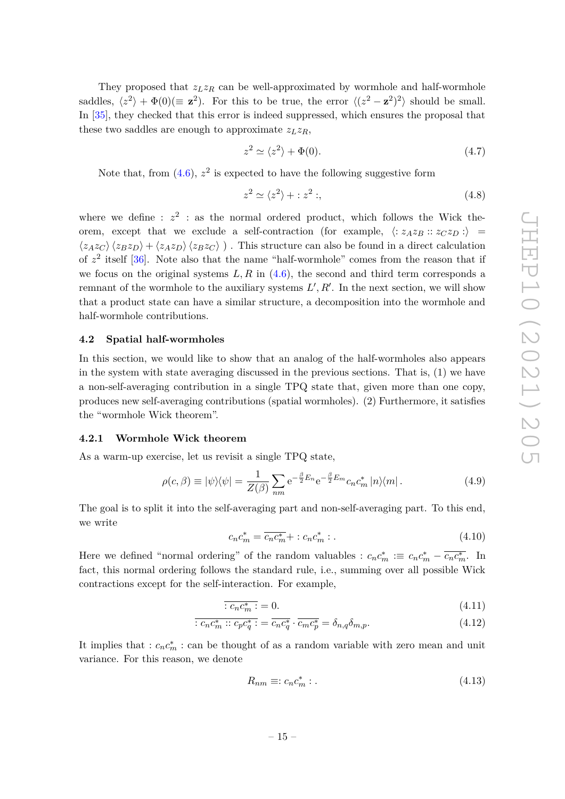They proposed that  $z_L z_R$  can be well-approximated by wormhole and half-wormhole saddles,  $\langle z^2 \rangle + \Phi(0) (\equiv \mathbf{z}^2)$ . For this to be true, the error  $\langle (z^2 - \mathbf{z}^2)^2 \rangle$  should be small. In [\[35\]](#page-25-5), they checked that this error is indeed suppressed, which ensures the proposal that these two saddles are enough to approximate  $z_L z_R$ ,

$$
z^2 \simeq \langle z^2 \rangle + \Phi(0). \tag{4.7}
$$

Note that, from  $(4.6)$ ,  $z^2$  is expected to have the following suggestive form

<span id="page-15-4"></span>
$$
z^2 \simeq \langle z^2 \rangle + : z^2 ; \tag{4.8}
$$

where we define :  $z^2$  : as the normal ordered product, which follows the Wick theorem, except that we exclude a self-contraction (for example,  $\langle : z_A z_B :: z_C z_D : \rangle =$  $\langle z_A z_C \rangle \langle z_B z_D \rangle + \langle z_A z_D \rangle \langle z_B z_C \rangle$ ). This structure can also be found in a direct calculation of  $z^2$  itself  $[36]$ . Note also that the name "half-wormhole" comes from the reason that if we focus on the original systems  $L, R$  in  $(4.6)$ , the second and third term corresponds a remnant of the wormhole to the auxiliary systems  $L', R'$ . In the next section, we will show that a product state can have a similar structure, a decomposition into the wormhole and half-wormhole contributions.

#### <span id="page-15-0"></span>**4.2 Spatial half-wormholes**

In this section, we would like to show that an analog of the half-wormholes also appears in the system with state averaging discussed in the previous sections. That is, (1) we have a non-self-averaging contribution in a single TPQ state that, given more than one copy, produces new self-averaging contributions (spatial wormholes). (2) Furthermore, it satisfies the "wormhole Wick theorem".

#### <span id="page-15-1"></span>**4.2.1 Wormhole Wick theorem**

As a warm-up exercise, let us revisit a single TPQ state,

$$
\rho(c,\beta) \equiv |\psi\rangle\langle\psi| = \frac{1}{Z(\beta)} \sum_{nm} e^{-\frac{\beta}{2}E_n} e^{-\frac{\beta}{2}E_m} c_n c_m^* |n\rangle\langle m|.
$$
 (4.9)

The goal is to split it into the self-averaging part and non-self-averaging part. To this end, we write

<span id="page-15-2"></span>
$$
c_n c_m^* = \overline{c_n c_m^*} + : c_n c_m^* : . \tag{4.10}
$$

Here we defined "normal ordering" of the random valuables :  $c_n c_m^* := c_n c_m^* - \overline{c_n c_m^*}$ . In fact, this normal ordering follows the standard rule, i.e., summing over all possible Wick contractions except for the self-interaction. For example,

$$
\overline{:c_nc_m^*:=0.}\tag{4.11}
$$

$$
\overline{c_n c_m^* :: c_p c_q^*} := \overline{c_n c_q^*} \cdot \overline{c_m c_p^*} = \delta_{n,q} \delta_{m,p}.
$$
\n(4.12)

It implies that  $: c_n c_m^* : \text{can be thought of as a random variable with zero mean and unit.}$ variance. For this reason, we denote

<span id="page-15-5"></span><span id="page-15-3"></span>
$$
R_{nm} \equiv: c_n c_m^* : . \tag{4.13}
$$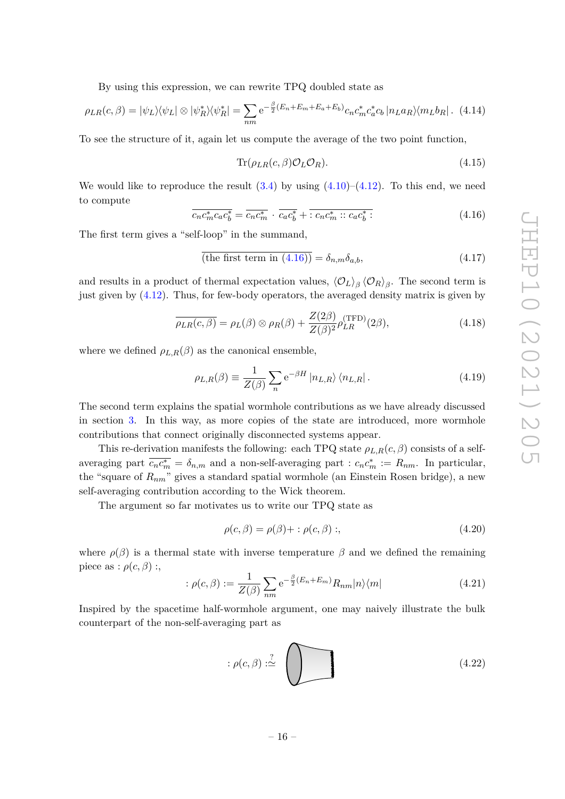By using this expression, we can rewrite TPQ doubled state as

$$
\rho_{LR}(c,\beta) = |\psi_L\rangle\langle\psi_L| \otimes |\psi_R^*\rangle\langle\psi_R^*| = \sum_{nm} e^{-\frac{\beta}{2}(E_n + E_m + E_a + E_b)} c_n c_m^* c_a^* c_b |n_L a_R\rangle\langle m_L b_R|.
$$
 (4.14)

To see the structure of it, again let us compute the average of the two point function,

$$
\text{Tr}(\rho_{LR}(c,\beta)\mathcal{O}_L\mathcal{O}_R). \tag{4.15}
$$

We would like to reproduce the result  $(3.4)$  by using  $(4.10)$ – $(4.12)$ . To this end, we need to compute

<span id="page-16-0"></span>
$$
\overline{c_n c_m^* c_a c_b^*} = \overline{c_n c_m^*} \cdot \overline{c_a c_b^*} + \overline{\cdot c_n c_m^* :: c_a c_b^* :}
$$
\n
$$
(4.16)
$$

The first term gives a "self-loop" in the summand,

$$
\overline{\text{(the first term in (4.16))}} = \delta_{n,m}\delta_{a,b},\tag{4.17}
$$

and results in a product of thermal expectation values,  $\langle O_L \rangle_\beta \langle O_R \rangle_\beta$ . The second term is just given by [\(4.12\)](#page-15-3). Thus, for few-body operators, the averaged density matrix is given by

$$
\overline{\rho_{LR}(c,\beta)} = \rho_L(\beta) \otimes \rho_R(\beta) + \frac{Z(2\beta)}{Z(\beta)^2} \rho_{LR}^{(\text{TFD})}(2\beta), \tag{4.18}
$$

where we defined  $\rho_{L,R}(\beta)$  as the canonical ensemble,

$$
\rho_{L,R}(\beta) \equiv \frac{1}{Z(\beta)} \sum_{n} e^{-\beta H} |n_{L,R}\rangle \langle n_{L,R}|.
$$
\n(4.19)

The second term explains the spatial wormhole contributions as we have already discussed in section [3.](#page-7-0) In this way, as more copies of the state are introduced, more wormhole contributions that connect originally disconnected systems appear.

This re-derivation manifests the following: each TPQ state  $\rho_{L,R}(c,\beta)$  consists of a selfaveraging part  $\overline{c_n c_m^*} = \delta_{n,m}$  and a non-self-averaging part :  $c_n c_m^* := R_{nm}$ . In particular, the "square of *Rnm*" gives a standard spatial wormhole (an Einstein Rosen bridge), a new self-averaging contribution according to the Wick theorem.

The argument so far motivates us to write our TPQ state as

$$
\rho(c,\beta) = \rho(\beta) + : \rho(c,\beta) ; \qquad (4.20)
$$

where  $\rho(\beta)$  is a thermal state with inverse temperature  $\beta$  and we defined the remaining piece as :  $\rho(c, \beta)$  :,

$$
: \rho(c,\beta) := \frac{1}{Z(\beta)} \sum_{nm} e^{-\frac{\beta}{2}(E_n + E_m)} R_{nm} |n\rangle\langle m|
$$
 (4.21)

Inspired by the spacetime half-wormhole argument, one may naively illustrate the bulk counterpart of the non-self-averaging part as

$$
:\rho(c,\beta):\stackrel{?}{\simeq} \qquad \qquad (4.22)
$$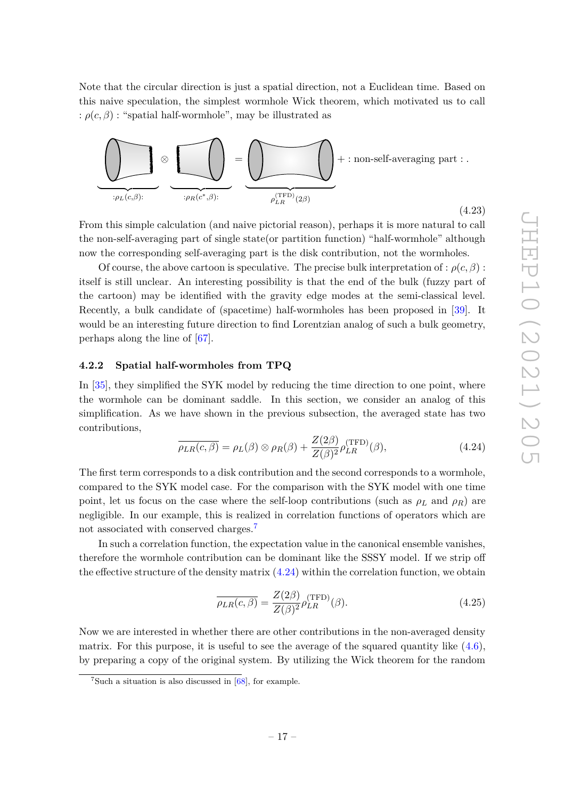Note that the circular direction is just a spatial direction, not a Euclidean time. Based on this naive speculation, the simplest wormhole Wick theorem, which motivated us to call :  $\rho(c, \beta)$ : "spatial half-wormhole", may be illustrated as **+ +**



**+ <sup>+</sup>** the non-self-averaging part of single state(or partition function) "half-wormhole" although From this simple calculation (and naive pictorial reason), perhaps it is more natural to call now the corresponding self-averaging part is the disk contribution, not the wormholes.

Of course, the above cartoon is speculative. The precise bulk interpretation of :  $\rho(c, \beta)$ : itself is still unclear. An interesting possibility is that the end of the bulk (fuzzy part of the cartoon) may be identified with the gravity edge modes at the semi-classical level. Recently, a bulk candidate of (spacetime) half-wormholes has been proposed in [\[39\]](#page-25-16). It would be an interesting future direction to find Lorentzian analog of such a bulk geometry, perhaps along the line of [\[67\]](#page-26-9).

# <span id="page-17-0"></span>**+ + 4.2.2 Spatial half-wormholes from TPQ**

In [\[35\]](#page-25-5), they simplified the SYK model by reducing the time direction to one point, where the wormhole can be dominant saddle. In this section, we consider an analog of this simplification. As we have shown in the previous subsection, the averaged state has two contributions,

<span id="page-17-2"></span>
$$
\overline{\rho_{LR}(c,\beta)} = \rho_L(\beta) \otimes \rho_R(\beta) + \frac{Z(2\beta)}{Z(\beta)^2} \rho_{LR}^{(\text{TFD})}(\beta), \tag{4.24}
$$

The first term corresponds to a disk contribution and the second corresponds to a wormhole, compared to the SYK model case. For the comparison with the SYK model with one time point, let us focus on the case where the self-loop contributions (such as  $\rho_L$  and  $\rho_R$ ) are negligible. In our example, this is realized in correlation functions of operators which are not associated with conserved charges.<sup>[7](#page-17-1)</sup>

In such a correlation function, the expectation value in the canonical ensemble vanishes, therefore the wormhole contribution can be dominant like the SSSY model. If we strip off the effective structure of the density matrix [\(4.24\)](#page-17-2) within the correlation function, we obtain

$$
\overline{\rho_{LR}(c,\beta)} = \frac{Z(2\beta)}{Z(\beta)^2} \rho_{LR}^{\text{(TFD)}}(\beta). \tag{4.25}
$$

Now we are interested in whether there are other contributions in the non-averaged density matrix. For this purpose, it is useful to see the average of the squared quantity like  $(4.6)$ , by preparing a copy of the original system. By utilizing the Wick theorem for the random

<span id="page-17-1"></span> ${}^{7}$ Such a situation is also discussed in  $[68]$ , for example.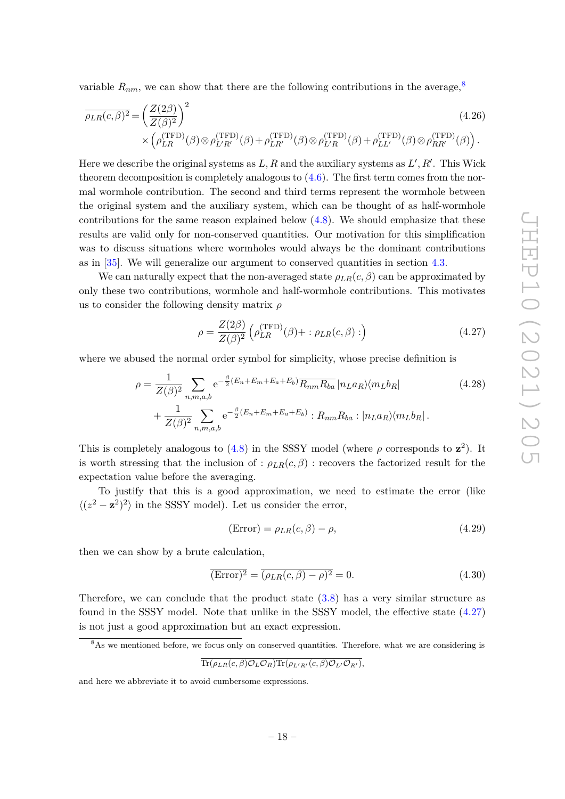variable  $R_{nm}$ , we can show that there are the following contributions in the average,<sup>[8](#page-18-0)</sup>

$$
\overline{\rho_{LR}(c,\beta)^2} = \left(\frac{Z(2\beta)}{Z(\beta)^2}\right)^2 \times \left(\rho_{LR}^{(\text{TFD})}(\beta) \otimes \rho_{L'R'}^{(\text{TFD})}(\beta) + \rho_{LR'}^{(\text{TFD})}(\beta) \otimes \rho_{L'R}^{(\text{TFD})}(\beta) + \rho_{LL'}^{(\text{TFD})}(\beta) \otimes \rho_{RR'}^{(\text{TFD})}(\beta)\right).
$$
\n(4.26)

Here we describe the original systems as  $L, R$  and the auxiliary systems as  $L', R'$ . This Wick theorem decomposition is completely analogous to  $(4.6)$ . The first term comes from the normal wormhole contribution. The second and third terms represent the wormhole between the original system and the auxiliary system, which can be thought of as half-wormhole contributions for the same reason explained below  $(4.8)$ . We should emphasize that these results are valid only for non-conserved quantities. Our motivation for this simplification was to discuss situations where wormholes would always be the dominant contributions as in [\[35\]](#page-25-5). We will generalize our argument to conserved quantities in section [4.3.](#page-19-1)

We can naturally expect that the non-averaged state  $\rho_{LR}(c,\beta)$  can be approximated by only these two contributions, wormhole and half-wormhole contributions. This motivates us to consider the following density matrix *ρ*

<span id="page-18-2"></span><span id="page-18-1"></span>
$$
\rho = \frac{Z(2\beta)}{Z(\beta)^2} \left( \rho_{LR}^{(\text{TFD})}(\beta) + : \rho_{LR}(c, \beta) : \right) \tag{4.27}
$$

where we abused the normal order symbol for simplicity, whose precise definition is

$$
\rho = \frac{1}{Z(\beta)^2} \sum_{n,m,a,b} e^{-\frac{\beta}{2}(E_n + E_m + E_a + E_b)} \overline{R_{nm} R_{ba}} |n_L a_R\rangle \langle m_L b_R|
$$
\n
$$
+ \frac{1}{Z(\beta)^2} \sum_{n,m,a,b} e^{-\frac{\beta}{2}(E_n + E_m + E_a + E_b)} : R_{nm} R_{ba} : |n_L a_R\rangle \langle m_L b_R|.
$$
\n(4.28)

This is completely analogous to  $(4.8)$  in the SSSY model (where  $\rho$  corresponds to  $z^2$ ). It is worth stressing that the inclusion of :  $\rho_{LR}(c, \beta)$  : recovers the factorized result for the expectation value before the averaging.

To justify that this is a good approximation, we need to estimate the error (like  $\langle (z^2 - \mathbf{z}^2)^2 \rangle$  in the SSSY model). Let us consider the error,

$$
(\text{Error}) = \rho_{LR}(c, \beta) - \rho,\tag{4.29}
$$

then we can show by a brute calculation,

$$
\overline{(\text{Error})^2} = \overline{(\rho_{LR}(c,\beta) - \rho)^2} = 0.
$$
\n(4.30)

Therefore, we can conclude that the product state  $(3.8)$  has a very similar structure as found in the SSSY model. Note that unlike in the SSSY model, the effective state [\(4.27\)](#page-18-1) is not just a good approximation but an exact expression.

<span id="page-18-0"></span><sup>8</sup>As we mentioned before, we focus only on conserved quantities. Therefore, what we are considering is

$$
\overline{\text{Tr}(\rho_{LR}(c,\beta)\mathcal{O}_L\mathcal{O}_R)\text{Tr}(\rho_{L'R'}(c,\beta)\mathcal{O}_{L'}\mathcal{O}_{R'})},
$$

and here we abbreviate it to avoid cumbersome expressions.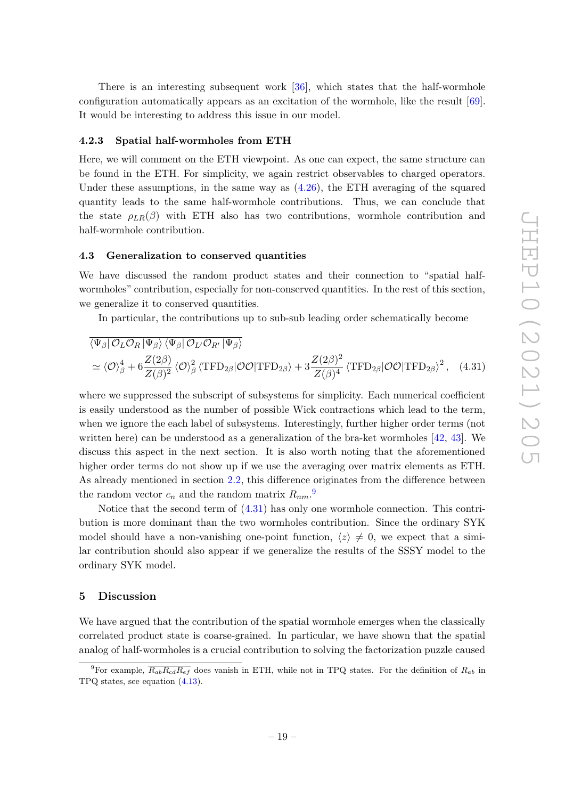There is an interesting subsequent work [\[36\]](#page-25-6), which states that the half-wormhole configuration automatically appears as an excitation of the wormhole, like the result [\[69\]](#page-26-11). It would be interesting to address this issue in our model.

#### <span id="page-19-0"></span>**4.2.3 Spatial half-wormholes from ETH**

Here, we will comment on the ETH viewpoint. As one can expect, the same structure can be found in the ETH. For simplicity, we again restrict observables to charged operators. Under these assumptions, in the same way as  $(4.26)$ , the ETH averaging of the squared quantity leads to the same half-wormhole contributions. Thus, we can conclude that the state  $\rho_{LR}(\beta)$  with ETH also has two contributions, wormhole contribution and half-wormhole contribution.

## <span id="page-19-1"></span>**4.3 Generalization to conserved quantities**

We have discussed the random product states and their connection to "spatial halfwormholes" contribution, especially for non-conserved quantities. In the rest of this section, we generalize it to conserved quantities.

<span id="page-19-4"></span>In particular, the contributions up to sub-sub leading order schematically become

$$
\overline{\langle \Psi_{\beta} | \mathcal{O}_{L} \mathcal{O}_{R} | \Psi_{\beta} \rangle \langle \Psi_{\beta} | \mathcal{O}_{L'} \mathcal{O}_{R'} | \Psi_{\beta} \rangle}
$$
\n
$$
\simeq \langle \mathcal{O} \rangle_{\beta}^{4} + 6 \frac{Z(2\beta)}{Z(\beta)^{2}} \langle \mathcal{O} \rangle_{\beta}^{2} \langle \text{TFD}_{2\beta} | \mathcal{O} \mathcal{O} | \text{TFD}_{2\beta} \rangle + 3 \frac{Z(2\beta)^{2}}{Z(\beta)^{4}} \langle \text{TFD}_{2\beta} | \mathcal{O} \mathcal{O} | \text{TFD}_{2\beta} \rangle^{2}, \quad (4.31)
$$

where we suppressed the subscript of subsystems for simplicity. Each numerical coefficient is easily understood as the number of possible Wick contractions which lead to the term, when we ignore the each label of subsystems. Interestingly, further higher order terms (not written here) can be understood as a generalization of the bra-ket wormholes [\[42,](#page-25-8) [43\]](#page-25-9). We discuss this aspect in the next section. It is also worth noting that the aforementioned higher order terms do not show up if we use the averaging over matrix elements as ETH. As already mentioned in section [2.2,](#page-6-0) this difference originates from the difference between the random vector  $c_n$  and the random matrix  $R_{nm}$ .<sup>[9](#page-19-3)</sup>

Notice that the second term of [\(4.31\)](#page-19-4) has only one wormhole connection. This contribution is more dominant than the two wormholes contribution. Since the ordinary SYK model should have a non-vanishing one-point function,  $\langle z \rangle \neq 0$ , we expect that a similar contribution should also appear if we generalize the results of the SSSY model to the ordinary SYK model.

## <span id="page-19-2"></span>**5 Discussion**

We have argued that the contribution of the spatial wormhole emerges when the classically correlated product state is coarse-grained. In particular, we have shown that the spatial analog of half-wormholes is a crucial contribution to solving the factorization puzzle caused

<span id="page-19-3"></span><sup>&</sup>lt;sup>9</sup>For example,  $\overline{R_{ab}R_{cd}R_{ef}}$  does vanish in ETH, while not in TPQ states. For the definition of  $R_{ab}$  in TPQ states, see equation [\(4.13\)](#page-15-5).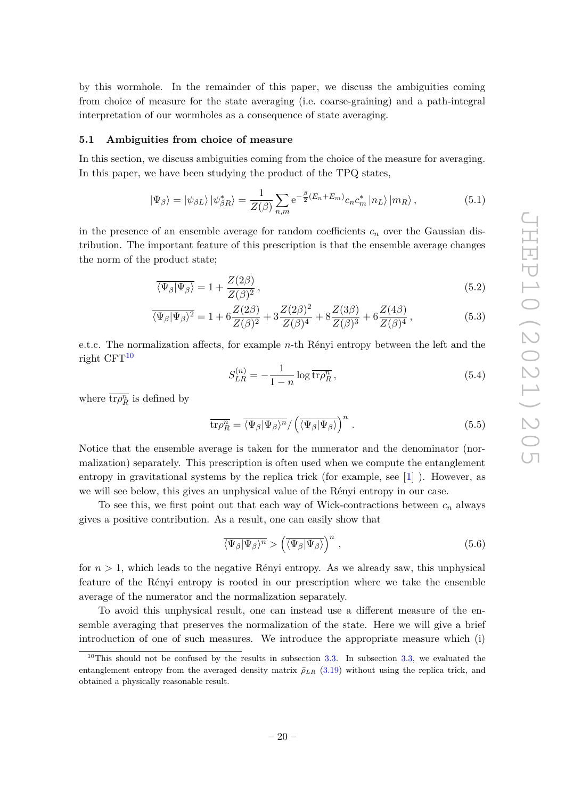by this wormhole. In the remainder of this paper, we discuss the ambiguities coming from choice of measure for the state averaging (i.e. coarse-graining) and a path-integral interpretation of our wormholes as a consequence of state averaging.

#### <span id="page-20-0"></span>**5.1 Ambiguities from choice of measure**

In this section, we discuss ambiguities coming from the choice of the measure for averaging. In this paper, we have been studying the product of the TPQ states,

$$
|\Psi_{\beta}\rangle = |\psi_{\beta L}\rangle |\psi_{\beta R}^{*}\rangle = \frac{1}{Z(\beta)} \sum_{n,m} e^{-\frac{\beta}{2}(E_{n} + E_{m})} c_{n} c_{m}^{*} |n_{L}\rangle |m_{R}\rangle, \qquad (5.1)
$$

in the presence of an ensemble average for random coefficients  $c_n$  over the Gaussian distribution. The important feature of this prescription is that the ensemble average changes the norm of the product state;

$$
\overline{\langle \Psi_{\beta} | \Psi_{\beta} \rangle} = 1 + \frac{Z(2\beta)}{Z(\beta)^2},\tag{5.2}
$$

$$
\overline{\langle \Psi_{\beta} | \Psi_{\beta} \rangle^{2}} = 1 + 6 \frac{Z(2\beta)}{Z(\beta)^{2}} + 3 \frac{Z(2\beta)^{2}}{Z(\beta)^{4}} + 8 \frac{Z(3\beta)}{Z(\beta)^{3}} + 6 \frac{Z(4\beta)}{Z(\beta)^{4}}, \tag{5.3}
$$

e.t.c. The normalization affects, for example *n*-th Rényi entropy between the left and the right  $CFT^{10}$  $CFT^{10}$  $CFT^{10}$ 

$$
S_{LR}^{(n)} = -\frac{1}{1-n} \log \overline{\text{tr}\rho_R^n} \,, \tag{5.4}
$$

where  $\overline{\text{tr}\rho_R^n}$  is defined by

$$
\overline{\text{tr}\rho_R^n} = \overline{\langle \Psi_\beta | \Psi_\beta \rangle^n} / \left( \overline{\langle \Psi_\beta | \Psi_\beta \rangle} \right)^n . \tag{5.5}
$$

Notice that the ensemble average is taken for the numerator and the denominator (normalization) separately. This prescription is often used when we compute the entanglement entropy in gravitational systems by the replica trick (for example, see  $[1]$ ). However, as we will see below, this gives an unphysical value of the Rényi entropy in our case.

To see this, we first point out that each way of Wick-contractions between *c<sup>n</sup>* always gives a positive contribution. As a result, one can easily show that

$$
\overline{\langle \Psi_{\beta} | \Psi_{\beta} \rangle^{n}} > \left( \overline{\langle \Psi_{\beta} | \Psi_{\beta} \rangle} \right)^{n}, \qquad (5.6)
$$

for  $n > 1$ , which leads to the negative Rényi entropy. As we already saw, this unphysical feature of the Rényi entropy is rooted in our prescription where we take the ensemble average of the numerator and the normalization separately.

To avoid this unphysical result, one can instead use a different measure of the ensemble averaging that preserves the normalization of the state. Here we will give a brief introduction of one of such measures. We introduce the appropriate measure which (i)

<span id="page-20-1"></span><sup>&</sup>lt;sup>10</sup>This should not be confused by the results in subsection [3.3.](#page-11-0) In subsection [3.3,](#page-11-0) we evaluated the entanglement entropy from the averaged density matrix  $\bar{\rho}_{LR}$  [\(3.19\)](#page-11-1) without using the replica trick, and obtained a physically reasonable result.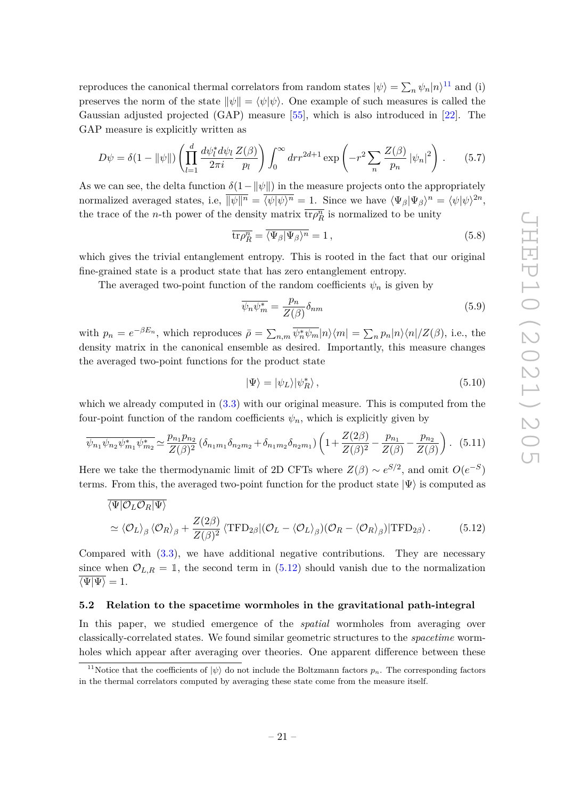reproduces the canonical thermal correlators from random states  $|\psi\rangle = \sum_n \psi_n |n\rangle^{11}$  $|\psi\rangle = \sum_n \psi_n |n\rangle^{11}$  $|\psi\rangle = \sum_n \psi_n |n\rangle^{11}$  and (i) preserves the norm of the state  $\|\psi\| = \langle \psi | \psi \rangle$ . One example of such measures is called the Gaussian adjusted projected (GAP) measure [\[55\]](#page-26-0), which is also introduced in [\[22\]](#page-24-4). The GAP measure is explicitly written as

$$
D\psi = \delta(1 - ||\psi||) \left( \prod_{l=1}^{d} \frac{d\psi_l^* d\psi_l}{2\pi i} \frac{Z(\beta)}{p_l} \right) \int_0^\infty dr r^{2d+1} \exp\left( -r^2 \sum_n \frac{Z(\beta)}{p_n} |\psi_n|^2 \right). \tag{5.7}
$$

As we can see, the delta function  $\delta(1-\|\psi\|)$  in the measure projects onto the appropriately normalized averaged states, i.e,  $\overline{\|\psi\|^n} = \overline{\langle \psi | \psi \rangle^n} = 1$ . Since we have  $\langle \Psi_\beta | \Psi_\beta \rangle^n = \langle \psi | \psi \rangle^{2n}$ , the trace of the *n*-th power of the density matrix  $\overline{\text{tr} \rho_R^n}$  is normalized to be unity

$$
\overline{\text{tr}\rho_R^n} = \overline{\langle \Psi_\beta | \Psi_\beta \rangle^n} = 1, \qquad (5.8)
$$

which gives the trivial entanglement entropy. This is rooted in the fact that our original fine-grained state is a product state that has zero entanglement entropy.

The averaged two-point function of the random coefficients  $\psi_n$  is given by

$$
\overline{\psi_n \psi_m^*} = \frac{p_n}{Z(\beta)} \delta_{nm} \tag{5.9}
$$

with  $p_n = e^{-\beta E_n}$ , which reproduces  $\bar{\rho} = \sum_{n,m} \overline{\psi_n^* \psi_m} |n\rangle\langle m| = \sum_n p_n |n\rangle\langle n|/Z(\beta)$ , i.e., the density matrix in the canonical ensemble as desired. Importantly, this measure changes the averaged two-point functions for the product state

<span id="page-21-2"></span>
$$
|\Psi\rangle = |\psi_L\rangle |\psi_R^*\rangle \,,\tag{5.10}
$$

which we already computed in  $(3.3)$  with our original measure. This is computed from the four-point function of the random coefficients  $\psi_n$ , which is explicitly given by

$$
\overline{\psi_{n_1}\psi_{n_2}\psi_{m_1}^*\psi_{m_2}^*} \simeq \frac{p_{n_1}p_{n_2}}{Z(\beta)^2} \left(\delta_{n_1m_1}\delta_{n_2m_2} + \delta_{n_1m_2}\delta_{n_2m_1}\right) \left(1 + \frac{Z(2\beta)}{Z(\beta)^2} - \frac{p_{n_1}}{Z(\beta)} - \frac{p_{n_2}}{Z(\beta)}\right). \tag{5.11}
$$

Here we take the thermodynamic limit of 2D CFTs where  $Z(\beta) \sim e^{S/2}$ , and omit  $O(e^{-S})$ terms. From this, the averaged two-point function for the product state  $|\Psi\rangle$  is computed as

$$
\overline{\langle \Psi | \mathcal{O}_L \mathcal{O}_R | \Psi \rangle}
$$
  
\n
$$
\simeq \langle \mathcal{O}_L \rangle_\beta \langle \mathcal{O}_R \rangle_\beta + \frac{Z(2\beta)}{Z(\beta)^2} \langle \text{TFD}_{2\beta} | (\mathcal{O}_L - \langle \mathcal{O}_L \rangle_\beta) (\mathcal{O}_R - \langle \mathcal{O}_R \rangle_\beta) | \text{TFD}_{2\beta} \rangle.
$$
 (5.12)

Compared with [\(3.3\)](#page-8-4), we have additional negative contributions. They are necessary since when  $\mathcal{O}_{L,R} = \mathbb{I}$ , the second term in [\(5.12\)](#page-21-2) should vanish due to the normalization  $\overline{\langle \Psi | \Psi \rangle} = 1.$ 

#### <span id="page-21-0"></span>**5.2 Relation to the spacetime wormholes in the gravitational path-integral**

In this paper, we studied emergence of the *spatial* wormholes from averaging over classically-correlated states. We found similar geometric structures to the *spacetime* wormholes which appear after averaging over theories. One apparent difference between these

<span id="page-21-1"></span><sup>&</sup>lt;sup>11</sup>Notice that the coefficients of  $|\psi\rangle$  do not include the Boltzmann factors  $p_n$ . The corresponding factors in the thermal correlators computed by averaging these state come from the measure itself.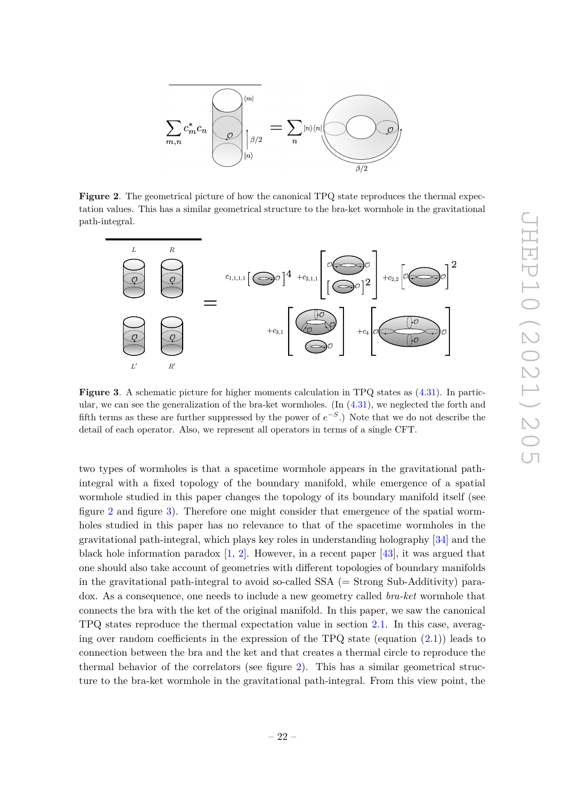

<span id="page-22-0"></span>**Figure 2.** The geometrical picture of how the canonical TPQ state reproduces the thermal expectation values. This has a similar geometrical structure to the bra-ket wormhole in the gravitational path-integral.



<span id="page-22-1"></span>**Figure 3**. A schematic picture for higher moments calculation in TPQ states as [\(4.31\)](#page-19-4). In particular, we can see the generalization of the bra-ket wormholes. (In  $(4.31)$ , we neglected the forth and fifth terms as these are further suppressed by the power of  $e^{-S}$ .) Note that we do not describe the detail of each operator. Also, we represent all operators in terms of a single CFT.

two types of wormholes is that a spacetime wormhole appears in the gravitational pathintegral with a fixed topology of the boundary manifold, while emergence of a spatial wormhole studied in this paper changes the topology of its boundary manifold itself (see figure [2](#page-22-0) and figure [3\)](#page-22-1). Therefore one might consider that emergence of the spatial wormholes studied in this paper has no relevance to that of the spacetime wormholes in the gravitational path-integral, which plays key roles in understanding holography [\[34\]](#page-25-4) and the black hole information paradox  $[1, 2]$  $[1, 2]$  $[1, 2]$ . However, in a recent paper [\[43\]](#page-25-9), it was argued that one should also take account of geometries with different topologies of boundary manifolds in the gravitational path-integral to avoid so-called SSA (= Strong Sub-Additivity) paradox. As a consequence, one needs to include a new geometry called *bra-ket* wormhole that connects the bra with the ket of the original manifold. In this paper, we saw the canonical TPQ states reproduce the thermal expectation value in section [2.1.](#page-5-0) In this case, averaging over random coefficients in the expression of the TPQ state (equation  $(2.1)$ ) leads to connection between the bra and the ket and that creates a thermal circle to reproduce the thermal behavior of the correlators (see figure [2\)](#page-22-0). This has a similar geometrical structure to the bra-ket wormhole in the gravitational path-integral. From this view point, the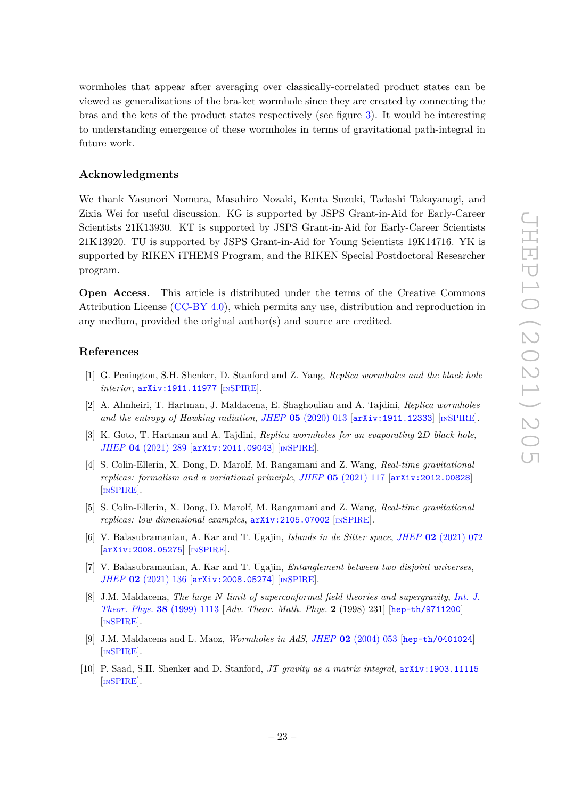wormholes that appear after averaging over classically-correlated product states can be viewed as generalizations of the bra-ket wormhole since they are created by connecting the bras and the kets of the product states respectively (see figure [3\)](#page-22-1). It would be interesting to understanding emergence of these wormholes in terms of gravitational path-integral in future work.

## **Acknowledgments**

We thank Yasunori Nomura, Masahiro Nozaki, Kenta Suzuki, Tadashi Takayanagi, and Zixia Wei for useful discussion. KG is supported by JSPS Grant-in-Aid for Early-Career Scientists 21K13930. KT is supported by JSPS Grant-in-Aid for Early-Career Scientists 21K13920. TU is supported by JSPS Grant-in-Aid for Young Scientists 19K14716. YK is supported by RIKEN iTHEMS Program, and the RIKEN Special Postdoctoral Researcher program.

**Open Access.** This article is distributed under the terms of the Creative Commons Attribution License [\(CC-BY 4.0\)](https://creativecommons.org/licenses/by/4.0/), which permits any use, distribution and reproduction in any medium, provided the original author(s) and source are credited.

## **References**

- <span id="page-23-0"></span>[1] G. Penington, S.H. Shenker, D. Stanford and Z. Yang, *Replica wormholes and the black hole interior*, [arXiv:1911.11977](https://arxiv.org/abs/1911.11977) [IN[SPIRE](https://inspirehep.net/search?p=find+EPRINT%2BarXiv%3A1911.11977)].
- <span id="page-23-1"></span>[2] A. Almheiri, T. Hartman, J. Maldacena, E. Shaghoulian and A. Tajdini, *Replica wormholes and the entropy of Hawking radiation*, *JHEP* **05** [\(2020\) 013](https://doi.org/10.1007/JHEP05(2020)013) [[arXiv:1911.12333](https://arxiv.org/abs/1911.12333)] [IN[SPIRE](https://inspirehep.net/search?p=find+EPRINT%2BarXiv%3A1911.12333)].
- <span id="page-23-2"></span>[3] K. Goto, T. Hartman and A. Tajdini, *Replica wormholes for an evaporating* 2*D black hole*, *JHEP* **04** [\(2021\) 289](https://doi.org/10.1007/JHEP04(2021)289) [[arXiv:2011.09043](https://arxiv.org/abs/2011.09043)] [IN[SPIRE](https://inspirehep.net/search?p=find+EPRINT%2BarXiv%3A2011.09043)].
- [4] S. Colin-Ellerin, X. Dong, D. Marolf, M. Rangamani and Z. Wang, *Real-time gravitational replicas: formalism and a variational principle*, *JHEP* **05** [\(2021\) 117](https://doi.org/10.1007/JHEP05(2021)117) [[arXiv:2012.00828](https://arxiv.org/abs/2012.00828)] [IN[SPIRE](https://inspirehep.net/search?p=find+EPRINT%2BarXiv%3A2012.00828)].
- [5] S. Colin-Ellerin, X. Dong, D. Marolf, M. Rangamani and Z. Wang, *Real-time gravitational replicas: low dimensional examples*,  $arXiv:2105.07002$  [IN[SPIRE](https://inspirehep.net/search?p=find+EPRINT%2BarXiv%3A2105.07002)].
- [6] V. Balasubramanian, A. Kar and T. Ugajin, *Islands in de Sitter space*, *JHEP* **02** [\(2021\) 072](https://doi.org/10.1007/JHEP02(2021)072) [[arXiv:2008.05275](https://arxiv.org/abs/2008.05275)] [IN[SPIRE](https://inspirehep.net/search?p=find+EPRINT%2BarXiv%3A2008.05275)].
- <span id="page-23-3"></span>[7] V. Balasubramanian, A. Kar and T. Ugajin, *Entanglement between two disjoint universes*, *JHEP* **02** [\(2021\) 136](https://doi.org/10.1007/JHEP02(2021)136) [[arXiv:2008.05274](https://arxiv.org/abs/2008.05274)] [IN[SPIRE](https://inspirehep.net/search?p=find+EPRINT%2BarXiv%3A2008.05274)].
- <span id="page-23-4"></span>[8] J.M. Maldacena, *The large N limit of superconformal field theories and supergravity*, *[Int. J.](https://doi.org/10.1023/A:1026654312961) [Theor. Phys.](https://doi.org/10.1023/A:1026654312961)* **38** (1999) 1113 [*Adv. Theor. Math. Phys.* **2** (1998) 231] [[hep-th/9711200](https://arxiv.org/abs/hep-th/9711200)] [IN[SPIRE](https://inspirehep.net/search?p=find+EPRINT%2Bhep-th%2F9711200)].
- <span id="page-23-5"></span>[9] J.M. Maldacena and L. Maoz, *Wormholes in AdS*, *JHEP* **02** [\(2004\) 053](https://doi.org/10.1088/1126-6708/2004/02/053) [[hep-th/0401024](https://arxiv.org/abs/hep-th/0401024)] [IN[SPIRE](https://inspirehep.net/search?p=find+EPRINT%2Bhep-th%2F0401024)].
- <span id="page-23-6"></span>[10] P. Saad, S.H. Shenker and D. Stanford, *JT gravity as a matrix integral*, [arXiv:1903.11115](https://arxiv.org/abs/1903.11115) [IN[SPIRE](https://inspirehep.net/search?p=find+EPRINT%2BarXiv%3A1903.11115)].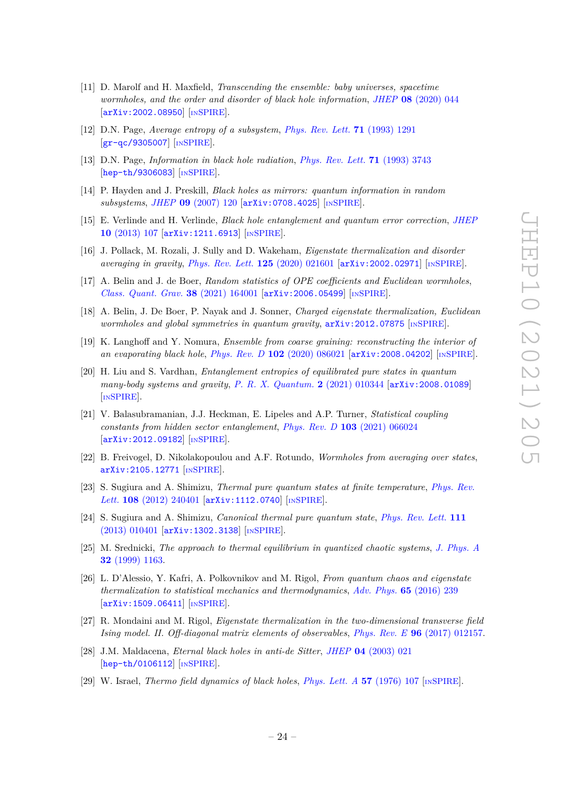- <span id="page-24-0"></span>[11] D. Marolf and H. Maxfield, *Transcending the ensemble: baby universes, spacetime wormholes, and the order and disorder of black hole information*, *JHEP* **08** [\(2020\) 044](https://doi.org/10.1007/JHEP08(2020)044) [[arXiv:2002.08950](https://arxiv.org/abs/2002.08950)] [IN[SPIRE](https://inspirehep.net/search?p=find+EPRINT%2BarXiv%3A2002.08950)].
- <span id="page-24-1"></span>[12] D.N. Page, *Average entropy of a subsystem*, *[Phys. Rev. Lett.](https://doi.org/10.1103/PhysRevLett.71.1291)* **71** (1993) 1291 [[gr-qc/9305007](https://arxiv.org/abs/gr-qc/9305007)] [IN[SPIRE](https://inspirehep.net/search?p=find+EPRINT%2Bgr-qc%2F9305007)].
- [13] D.N. Page, *Information in black hole radiation*, *[Phys. Rev. Lett.](https://doi.org/10.1103/PhysRevLett.71.3743)* **71** (1993) 3743 [[hep-th/9306083](https://arxiv.org/abs/hep-th/9306083)] [IN[SPIRE](https://inspirehep.net/search?p=find+EPRINT%2Bhep-th%2F9306083)].
- [14] P. Hayden and J. Preskill, *Black holes as mirrors: quantum information in random subsystems*, *JHEP* **09** [\(2007\) 120](https://doi.org/10.1088/1126-6708/2007/09/120) [[arXiv:0708.4025](https://arxiv.org/abs/0708.4025)] [IN[SPIRE](https://inspirehep.net/search?p=find+EPRINT%2BarXiv%3A0708.4025)].
- <span id="page-24-2"></span>[15] E. Verlinde and H. Verlinde, *Black hole entanglement and quantum error correction*, *[JHEP](https://doi.org/10.1007/JHEP10(2013)107)* **10** [\(2013\) 107](https://doi.org/10.1007/JHEP10(2013)107) [[arXiv:1211.6913](https://arxiv.org/abs/1211.6913)] [IN[SPIRE](https://inspirehep.net/search?p=find+EPRINT%2BarXiv%3A1211.6913)].
- <span id="page-24-3"></span>[16] J. Pollack, M. Rozali, J. Sully and D. Wakeham, *Eigenstate thermalization and disorder averaging in gravity*, *[Phys. Rev. Lett.](https://doi.org/10.1103/PhysRevLett.125.021601)* **125** (2020) 021601 [[arXiv:2002.02971](https://arxiv.org/abs/2002.02971)] [IN[SPIRE](https://inspirehep.net/search?p=find+EPRINT%2BarXiv%3A2002.02971)].
- [17] A. Belin and J. de Boer, *Random statistics of OPE coefficients and Euclidean wormholes*, *[Class. Quant. Grav.](https://doi.org/10.1088/1361-6382/ac1082)* **38** (2021) 164001 [[arXiv:2006.05499](https://arxiv.org/abs/2006.05499)] [IN[SPIRE](https://inspirehep.net/search?p=find+EPRINT%2BarXiv%3A2006.05499)].
- <span id="page-24-10"></span>[18] A. Belin, J. De Boer, P. Nayak and J. Sonner, *Charged eigenstate thermalization, Euclidean wormholes and global symmetries in quantum gravity*,  $arXiv:2012.07875$  [IN[SPIRE](https://inspirehep.net/search?p=find+EPRINT%2BarXiv%3A2012.07875)].
- [19] K. Langhoff and Y. Nomura, *Ensemble from coarse graining: reconstructing the interior of an evaporating black hole*, *Phys. Rev. D* **102** [\(2020\) 086021](https://doi.org/10.1103/PhysRevD.102.086021) [[arXiv:2008.04202](https://arxiv.org/abs/2008.04202)] [IN[SPIRE](https://inspirehep.net/search?p=find+EPRINT%2BarXiv%3A2008.04202)].
- [20] H. Liu and S. Vardhan, *Entanglement entropies of equilibrated pure states in quantum many-body systems and gravity*, *[P. R. X. Quantum.](https://doi.org/10.1103/PRXQuantum.2.010344)* **2** (2021) 010344 [[arXiv:2008.01089](https://arxiv.org/abs/2008.01089)] [IN[SPIRE](https://inspirehep.net/search?p=find+EPRINT%2BarXiv%3A2008.01089)].
- [21] V. Balasubramanian, J.J. Heckman, E. Lipeles and A.P. Turner, *Statistical coupling constants from hidden sector entanglement*, *Phys. Rev. D* **103** [\(2021\) 066024](https://doi.org/10.1103/PhysRevD.103.066024) [[arXiv:2012.09182](https://arxiv.org/abs/2012.09182)] [IN[SPIRE](https://inspirehep.net/search?p=find+EPRINT%2BarXiv%3A2012.09182)].
- <span id="page-24-4"></span>[22] B. Freivogel, D. Nikolakopoulou and A.F. Rotundo, *Wormholes from averaging over states*, [arXiv:2105.12771](https://arxiv.org/abs/2105.12771) [IN[SPIRE](https://inspirehep.net/search?p=find+EPRINT%2BarXiv%3A2105.12771)].
- <span id="page-24-5"></span>[23] S. Sugiura and A. Shimizu, *Thermal pure quantum states at finite temperature*, *[Phys. Rev.](https://doi.org/10.1103/PhysRevLett.108.240401) Lett.* **108** [\(2012\) 240401](https://doi.org/10.1103/PhysRevLett.108.240401) [[arXiv:1112.0740](https://arxiv.org/abs/1112.0740)] [IN[SPIRE](https://inspirehep.net/search?p=find+EPRINT%2BarXiv%3A1112.0740)].
- <span id="page-24-6"></span>[24] S. Sugiura and A. Shimizu, *Canonical thermal pure quantum state*, *[Phys. Rev. Lett.](https://doi.org/10.1103/PhysRevLett.111.010401)* **111** [\(2013\) 010401](https://doi.org/10.1103/PhysRevLett.111.010401) [[arXiv:1302.3138](https://arxiv.org/abs/1302.3138)] [IN[SPIRE](https://inspirehep.net/search?p=find+EPRINT%2BarXiv%3A1302.3138)].
- <span id="page-24-7"></span>[25] M. Srednicki, *The approach to thermal equilibrium in quantized chaotic systems*, *[J. Phys. A](https://doi.org/10.1088/0305-4470/32/7/007)* **32** [\(1999\) 1163.](https://doi.org/10.1088/0305-4470/32/7/007)
- [26] L. D'Alessio, Y. Kafri, A. Polkovnikov and M. Rigol, *From quantum chaos and eigenstate thermalization to statistical mechanics and thermodynamics*, *[Adv. Phys.](https://doi.org/10.1080/00018732.2016.1198134)* **65** (2016) 239 [[arXiv:1509.06411](https://arxiv.org/abs/1509.06411)] [IN[SPIRE](https://inspirehep.net/search?p=find+EPRINT%2BarXiv%3A1509.06411)].
- <span id="page-24-8"></span>[27] R. Mondaini and M. Rigol, *Eigenstate thermalization in the two-dimensional transverse field Ising model. II. Off-diagonal matrix elements of observables*, *Phys. Rev. E* **96** [\(2017\) 012157.](https://doi.org/10.1103/physreve.96.012157)
- <span id="page-24-9"></span>[28] J.M. Maldacena, *Eternal black holes in anti-de Sitter*, *JHEP* **04** [\(2003\) 021](https://doi.org/10.1088/1126-6708/2003/04/021) [[hep-th/0106112](https://arxiv.org/abs/hep-th/0106112)] [IN[SPIRE](https://inspirehep.net/search?p=find+EPRINT%2Bhep-th%2F0106112)].
- [29] W. Israel, *Thermo field dynamics of black holes*, *[Phys. Lett. A](https://doi.org/10.1016/0375-9601(76)90178-X)* **57** (1976) 107 [IN[SPIRE](https://inspirehep.net/search?p=find+J%20%22Phys.Lett.%2CA57%2C107%22)].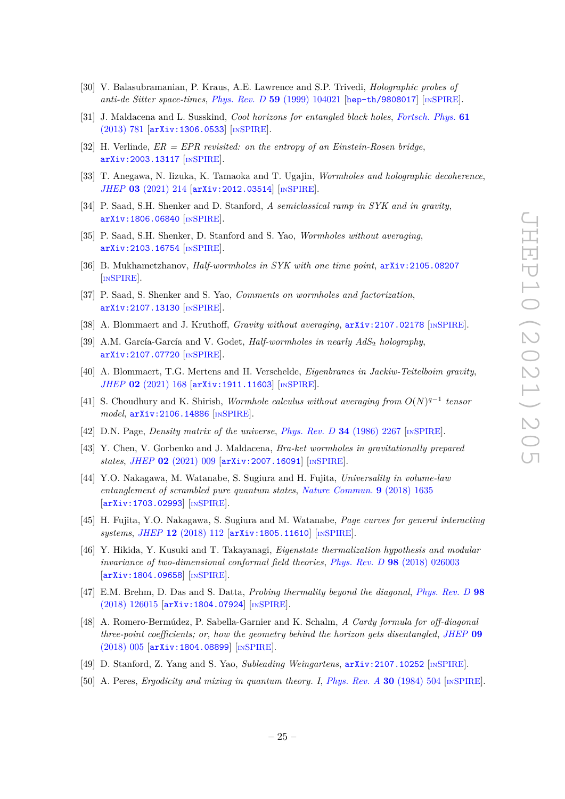- <span id="page-25-0"></span>[30] V. Balasubramanian, P. Kraus, A.E. Lawrence and S.P. Trivedi, *Holographic probes of anti-de Sitter space-times*, *Phys. Rev. D* **59** [\(1999\) 104021](https://doi.org/10.1103/PhysRevD.59.104021) [[hep-th/9808017](https://arxiv.org/abs/hep-th/9808017)] [IN[SPIRE](https://inspirehep.net/search?p=find+EPRINT%2Bhep-th%2F9808017)].
- <span id="page-25-1"></span>[31] J. Maldacena and L. Susskind, *Cool horizons for entangled black holes*, *[Fortsch. Phys.](https://doi.org/10.1002/prop.201300020)* **61** [\(2013\) 781](https://doi.org/10.1002/prop.201300020) [[arXiv:1306.0533](https://arxiv.org/abs/1306.0533)] [IN[SPIRE](https://inspirehep.net/search?p=find+EPRINT%2BarXiv%3A1306.0533)].
- <span id="page-25-2"></span>[32] H. Verlinde, *ER = EPR revisited: on the entropy of an Einstein-Rosen bridge*, [arXiv:2003.13117](https://arxiv.org/abs/2003.13117) [IN[SPIRE](https://inspirehep.net/search?p=find+EPRINT%2BarXiv%3A2003.13117)].
- <span id="page-25-3"></span>[33] T. Anegawa, N. Iizuka, K. Tamaoka and T. Ugajin, *Wormholes and holographic decoherence*, *JHEP* **03** [\(2021\) 214](https://doi.org/10.1007/JHEP03(2021)214) [[arXiv:2012.03514](https://arxiv.org/abs/2012.03514)] [IN[SPIRE](https://inspirehep.net/search?p=find+EPRINT%2BarXiv%3A2012.03514)].
- <span id="page-25-4"></span>[34] P. Saad, S.H. Shenker and D. Stanford, *A semiclassical ramp in SYK and in gravity*, [arXiv:1806.06840](https://arxiv.org/abs/1806.06840) [IN[SPIRE](https://inspirehep.net/search?p=find+EPRINT%2BarXiv%3A1806.06840)].
- <span id="page-25-5"></span>[35] P. Saad, S.H. Shenker, D. Stanford and S. Yao, *Wormholes without averaging*, [arXiv:2103.16754](https://arxiv.org/abs/2103.16754) [IN[SPIRE](https://inspirehep.net/search?p=find+EPRINT%2BarXiv%3A2103.16754)].
- <span id="page-25-6"></span>[36] B. Mukhametzhanov, *Half-wormholes in SYK with one time point*, [arXiv:2105.08207](https://arxiv.org/abs/2105.08207) [IN[SPIRE](https://inspirehep.net/search?p=find+EPRINT%2BarXiv%3A2105.08207)].
- [37] P. Saad, S. Shenker and S. Yao, *Comments on wormholes and factorization*, [arXiv:2107.13130](https://arxiv.org/abs/2107.13130) [IN[SPIRE](https://inspirehep.net/search?p=find+EPRINT%2BarXiv%3A2107.13130)].
- [38] A. Blommaert and J. Kruthoff, *Gravity without averaging*, [arXiv:2107.02178](https://arxiv.org/abs/2107.02178) [IN[SPIRE](https://inspirehep.net/search?p=find+EPRINT%2BarXiv%3A2107.02178)].
- <span id="page-25-16"></span>[39] A.M. García-García and V. Godet, *Half-wormholes in nearly AdS*<sup>2</sup> *holography*, [arXiv:2107.07720](https://arxiv.org/abs/2107.07720) [IN[SPIRE](https://inspirehep.net/search?p=find+EPRINT%2BarXiv%3A2107.07720)].
- [40] A. Blommaert, T.G. Mertens and H. Verschelde, *Eigenbranes in Jackiw-Teitelboim gravity*, *JHEP* **02** [\(2021\) 168](https://doi.org/10.1007/JHEP02(2021)168) [[arXiv:1911.11603](https://arxiv.org/abs/1911.11603)] [IN[SPIRE](https://inspirehep.net/search?p=find+EPRINT%2BarXiv%3A1911.11603)].
- <span id="page-25-7"></span>[41] S. Choudhury and K. Shirish, *Wormhole calculus without averaging from O*(*N*) *q*−1 *tensor model*, [arXiv:2106.14886](https://arxiv.org/abs/2106.14886) [IN[SPIRE](https://inspirehep.net/search?p=find+EPRINT%2BarXiv%3A2106.14886)].
- <span id="page-25-8"></span>[42] D.N. Page, *Density matrix of the universe*, *[Phys. Rev. D](https://doi.org/10.1103/PhysRevD.34.2267)* **34** (1986) 2267 [IN[SPIRE](https://inspirehep.net/search?p=find+J%20%22Phys.Rev.%2CD34%2C2267%22)].
- <span id="page-25-9"></span>[43] Y. Chen, V. Gorbenko and J. Maldacena, *Bra-ket wormholes in gravitationally prepared states*, *JHEP* **02** [\(2021\) 009](https://doi.org/10.1007/JHEP02(2021)009) [[arXiv:2007.16091](https://arxiv.org/abs/2007.16091)] [IN[SPIRE](https://inspirehep.net/search?p=find+EPRINT%2BarXiv%3A2007.16091)].
- <span id="page-25-10"></span>[44] Y.O. Nakagawa, M. Watanabe, S. Sugiura and H. Fujita, *Universality in volume-law entanglement of scrambled pure quantum states*, *[Nature Commun.](https://doi.org/10.1038/s41467-018-03883-9)* **9** (2018) 1635 [[arXiv:1703.02993](https://arxiv.org/abs/1703.02993)] [IN[SPIRE](https://inspirehep.net/search?p=find+EPRINT%2BarXiv%3A1703.02993)].
- <span id="page-25-11"></span>[45] H. Fujita, Y.O. Nakagawa, S. Sugiura and M. Watanabe, *Page curves for general interacting systems*, *JHEP* **12** [\(2018\) 112](https://doi.org/10.1007/JHEP12(2018)112) [[arXiv:1805.11610](https://arxiv.org/abs/1805.11610)] [IN[SPIRE](https://inspirehep.net/search?p=find+EPRINT%2BarXiv%3A1805.11610)].
- <span id="page-25-12"></span>[46] Y. Hikida, Y. Kusuki and T. Takayanagi, *Eigenstate thermalization hypothesis and modular invariance of two-dimensional conformal field theories*, *Phys. Rev. D* **98** [\(2018\) 026003](https://doi.org/10.1103/PhysRevD.98.026003) [[arXiv:1804.09658](https://arxiv.org/abs/1804.09658)] [IN[SPIRE](https://inspirehep.net/search?p=find+EPRINT%2BarXiv%3A1804.09658)].
- [47] E.M. Brehm, D. Das and S. Datta, *Probing thermality beyond the diagonal*, *[Phys. Rev. D](https://doi.org/10.1103/PhysRevD.98.126015)* **98** [\(2018\) 126015](https://doi.org/10.1103/PhysRevD.98.126015) [[arXiv:1804.07924](https://arxiv.org/abs/1804.07924)] [IN[SPIRE](https://inspirehep.net/search?p=find+EPRINT%2BarXiv%3A1804.07924)].
- <span id="page-25-13"></span>[48] A. Romero-Bermúdez, P. Sabella-Garnier and K. Schalm, *A Cardy formula for off-diagonal three-point coefficients; or, how the geometry behind the horizon gets disentangled*, *[JHEP](https://doi.org/10.1007/JHEP09(2018)005)* **09** [\(2018\) 005](https://doi.org/10.1007/JHEP09(2018)005) [[arXiv:1804.08899](https://arxiv.org/abs/1804.08899)] [IN[SPIRE](https://inspirehep.net/search?p=find+EPRINT%2BarXiv%3A1804.08899)].
- <span id="page-25-14"></span>[49] D. Stanford, Z. Yang and S. Yao, *Subleading Weingartens*, [arXiv:2107.10252](https://arxiv.org/abs/2107.10252) [IN[SPIRE](https://inspirehep.net/search?p=find+EPRINT%2BarXiv%3A2107.10252)].
- <span id="page-25-15"></span>[50] A. Peres, *Ergodicity and mixing in quantum theory. I*, *[Phys. Rev. A](https://doi.org/10.1103/PhysRevA.30.504)* **30** (1984) 504 [IN[SPIRE](https://inspirehep.net/search?p=find+J%20%22Phys.Rev.%2CA30%2C504%22)].